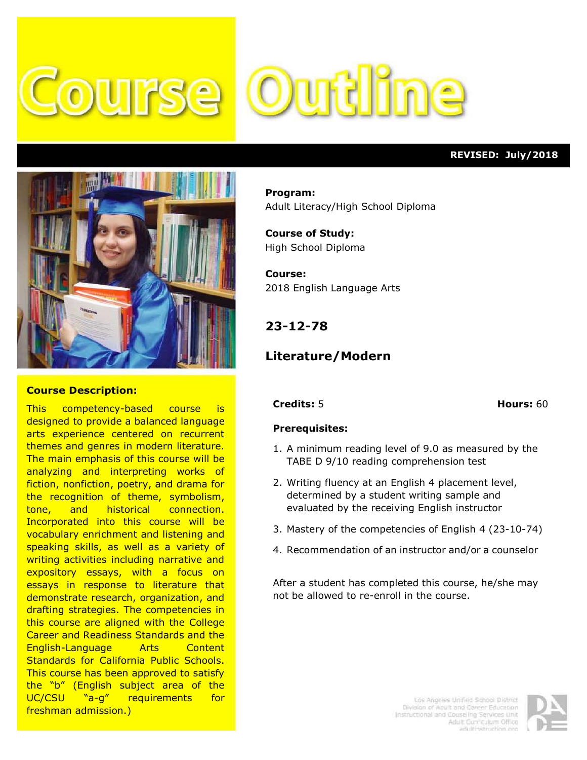# Oudline

## **REVISED: July/2018**



### **Course Description:**

This competency-based course is designed to provide a balanced language arts experience centered on recurrent themes and genres in modern literature. The main emphasis of this course will be analyzing and interpreting works of fiction, nonfiction, poetry, and drama for the recognition of theme, symbolism, tone, and historical connection. Incorporated into this course will be vocabulary enrichment and listening and speaking skills, as well as a variety of writing activities including narrative and expository essays, with a focus on essays in response to literature that demonstrate research, organization, and drafting strategies. The competencies in this course are aligned with the College Career and Readiness Standards and the English-Language Arts Content Standards for California Public Schools. This course has been approved to satisfy the "b" (English subject area of the UC/CSU "a-g" requirements for freshman admission.)

**Program:** Adult Literacy/High School Diploma

**Course of Study:** High School Diploma

**Course:** 2018 English Language Arts

**23-12-78**

## **Literature/Modern**

#### **Credits:** 5 **Hours:** 60

#### **Prerequisites:**

- 1. A minimum reading level of 9.0 as measured by the TABE D 9/10 reading comprehension test
- 2. Writing fluency at an English 4 placement level, determined by a student writing sample and evaluated by the receiving English instructor
- 3. Mastery of the competencies of English 4 (23-10-74)
- 4. Recommendation of an instructor and/or a counselor

After a student has completed this course, he/she may not be allowed to re-enroll in the course.



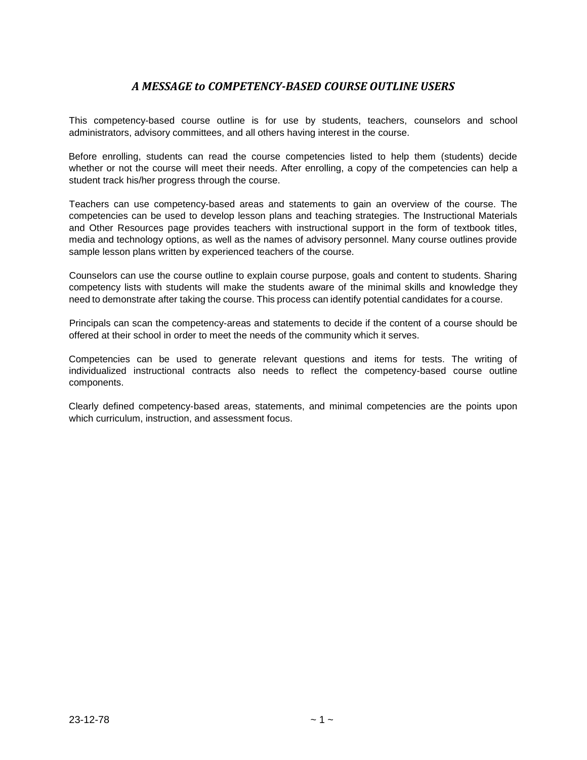## *A MESSAGE to COMPETENCY-BASED COURSE OUTLINE USERS*

This competency-based course outline is for use by students, teachers, counselors and school administrators, advisory committees, and all others having interest in the course.

Before enrolling, students can read the course competencies listed to help them (students) decide whether or not the course will meet their needs. After enrolling, a copy of the competencies can help a student track his/her progress through the course.

Teachers can use competency-based areas and statements to gain an overview of the course. The competencies can be used to develop lesson plans and teaching strategies. The Instructional Materials and Other Resources page provides teachers with instructional support in the form of textbook titles, media and technology options, as well as the names of advisory personnel. Many course outlines provide sample lesson plans written by experienced teachers of the course.

Counselors can use the course outline to explain course purpose, goals and content to students. Sharing competency lists with students will make the students aware of the minimal skills and knowledge they need to demonstrate after taking the course. This process can identify potential candidates for a course.

Principals can scan the competency-areas and statements to decide if the content of a course should be offered at their school in order to meet the needs of the community which it serves.

Competencies can be used to generate relevant questions and items for tests. The writing of individualized instructional contracts also needs to reflect the competency-based course outline components.

Clearly defined competency-based areas, statements, and minimal competencies are the points upon which curriculum, instruction, and assessment focus.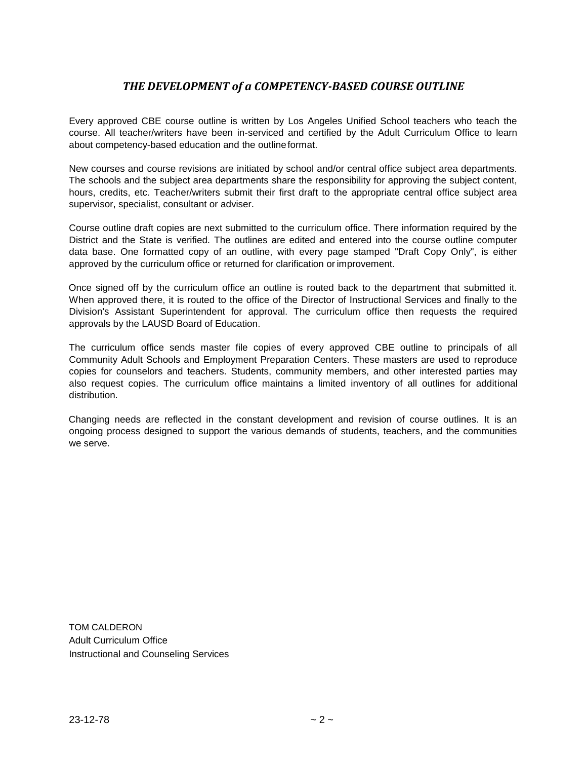## *THE DEVELOPMENT of a COMPETENCY-BASED COURSE OUTLINE*

Every approved CBE course outline is written by Los Angeles Unified School teachers who teach the course. All teacher/writers have been in-serviced and certified by the Adult Curriculum Office to learn about competency-based education and the outlineformat.

New courses and course revisions are initiated by school and/or central office subject area departments. The schools and the subject area departments share the responsibility for approving the subject content, hours, credits, etc. Teacher/writers submit their first draft to the appropriate central office subject area supervisor, specialist, consultant or adviser.

Course outline draft copies are next submitted to the curriculum office. There information required by the District and the State is verified. The outlines are edited and entered into the course outline computer data base. One formatted copy of an outline, with every page stamped "Draft Copy Only", is either approved by the curriculum office or returned for clarification or improvement.

Once signed off by the curriculum office an outline is routed back to the department that submitted it. When approved there, it is routed to the office of the Director of Instructional Services and finally to the Division's Assistant Superintendent for approval. The curriculum office then requests the required approvals by the LAUSD Board of Education.

The curriculum office sends master file copies of every approved CBE outline to principals of all Community Adult Schools and Employment Preparation Centers. These masters are used to reproduce copies for counselors and teachers. Students, community members, and other interested parties may also request copies. The curriculum office maintains a limited inventory of all outlines for additional distribution.

Changing needs are reflected in the constant development and revision of course outlines. It is an ongoing process designed to support the various demands of students, teachers, and the communities we serve.

TOM CALDERON Adult Curriculum Office Instructional and Counseling Services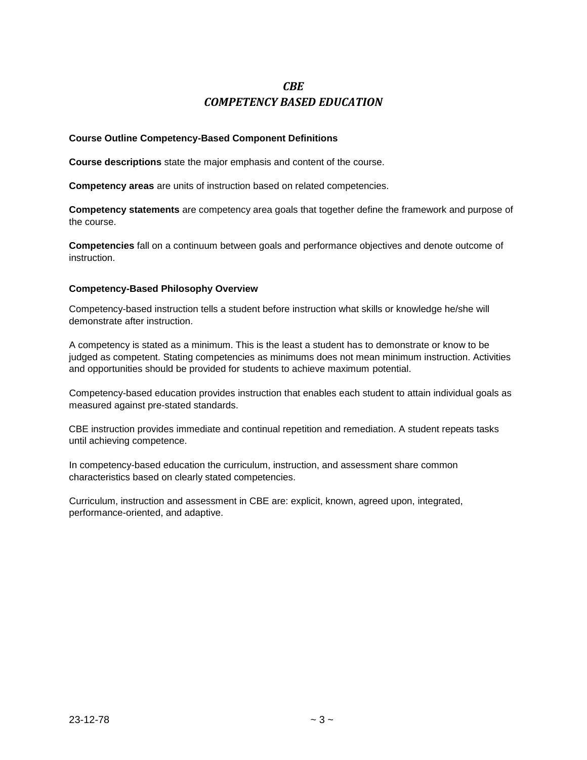## *CBE COMPETENCY BASED EDUCATION*

#### **Course Outline Competency-Based Component Definitions**

**Course descriptions** state the major emphasis and content of the course.

**Competency areas** are units of instruction based on related competencies.

**Competency statements** are competency area goals that together define the framework and purpose of the course.

**Competencies** fall on a continuum between goals and performance objectives and denote outcome of instruction.

#### **Competency-Based Philosophy Overview**

Competency-based instruction tells a student before instruction what skills or knowledge he/she will demonstrate after instruction.

A competency is stated as a minimum. This is the least a student has to demonstrate or know to be judged as competent. Stating competencies as minimums does not mean minimum instruction. Activities and opportunities should be provided for students to achieve maximum potential.

Competency-based education provides instruction that enables each student to attain individual goals as measured against pre-stated standards.

CBE instruction provides immediate and continual repetition and remediation. A student repeats tasks until achieving competence.

In competency-based education the curriculum, instruction, and assessment share common characteristics based on clearly stated competencies.

Curriculum, instruction and assessment in CBE are: explicit, known, agreed upon, integrated, performance-oriented, and adaptive.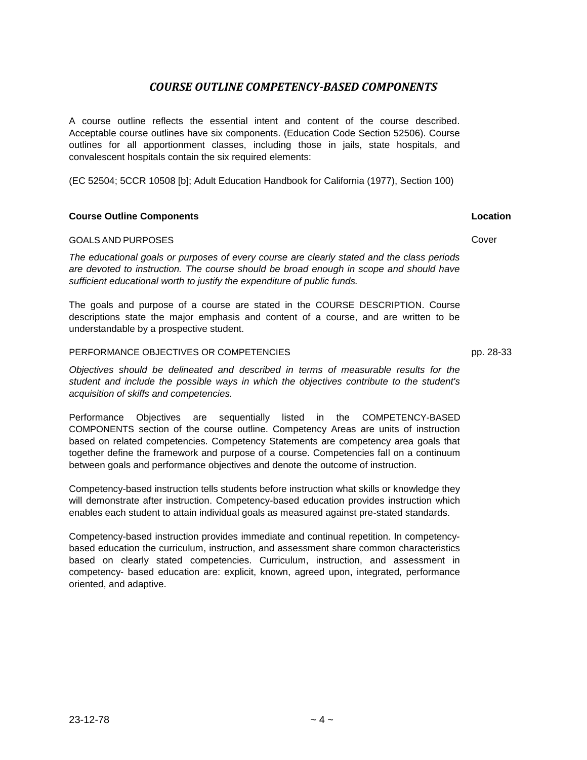## *COURSE OUTLINE COMPETENCY-BASED COMPONENTS*

A course outline reflects the essential intent and content of the course described. Acceptable course outlines have six components. (Education Code Section 52506). Course outlines for all apportionment classes, including those in jails, state hospitals, and convalescent hospitals contain the six required elements:

(EC 52504; 5CCR 10508 [b]; Adult Education Handbook for California (1977), Section 100)

#### **Course Outline Components**

#### GOALS AND PURPOSES

*The educational goals or purposes of every course are clearly stated and the class periods are devoted to instruction. The course should be broad enough in scope and should have sufficient educational worth to justify the expenditure of public funds.*

The goals and purpose of a course are stated in the COURSE DESCRIPTION. Course descriptions state the major emphasis and content of a course, and are written to be understandable by a prospective student.

#### PERFORMANCE OBJECTIVES OR COMPETENCIES

*Objectives should be delineated and described in terms of measurable results for the student and include the possible ways in which the objectives contribute to the student's acquisition of skiffs and competencies.*

Performance Objectives are sequentially listed in the COMPETENCY-BASED COMPONENTS section of the course outline. Competency Areas are units of instruction based on related competencies. Competency Statements are competency area goals that together define the framework and purpose of a course. Competencies fall on a continuum between goals and performance objectives and denote the outcome of instruction.

Competency-based instruction tells students before instruction what skills or knowledge they will demonstrate after instruction. Competency-based education provides instruction which enables each student to attain individual goals as measured against pre-stated standards.

Competency-based instruction provides immediate and continual repetition. In competencybased education the curriculum, instruction, and assessment share common characteristics based on clearly stated competencies. Curriculum, instruction, and assessment in competency- based education are: explicit, known, agreed upon, integrated, performance oriented, and adaptive.

pp. 28-33

**Location**

Cover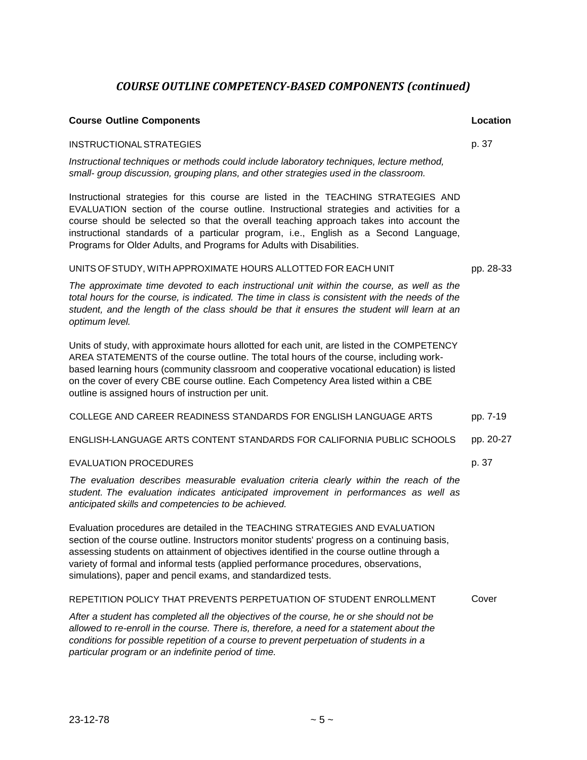## *COURSE OUTLINE COMPETENCY-BASED COMPONENTS (continued)*

#### **Course Outline Components**

#### INSTRUCTIONALSTRATEGIES

*Instructional techniques or methods could include laboratory techniques, lecture method, small- group discussion, grouping plans, and other strategies used in the classroom.*

Instructional strategies for this course are listed in the TEACHING STRATEGIES AND EVALUATION section of the course outline. Instructional strategies and activities for a course should be selected so that the overall teaching approach takes into account the instructional standards of a particular program, i.e., English as a Second Language, Programs for Older Adults, and Programs for Adults with Disabilities.

#### UNITS OFSTUDY, WITH APPROXIMATE HOURS ALLOTTED FOR EACH UNIT

*The approximate time devoted to each instructional unit within the course, as well as the total hours for the course, is indicated. The time in class is consistent with the needs of the student, and the length of the class should be that it ensures the student will learn at an optimum level.*

Units of study, with approximate hours allotted for each unit, are listed in the COMPETENCY AREA STATEMENTS of the course outline. The total hours of the course, including workbased learning hours (community classroom and cooperative vocational education) is listed on the cover of every CBE course outline. Each Competency Area listed within a CBE outline is assigned hours of instruction per unit.

#### COLLEGE AND CAREER READINESS STANDARDS FOR ENGLISH LANGUAGE ARTS pp. 7-19

ENGLISH-LANGUAGE ARTS CONTENT STANDARDS FOR CALIFORNIA PUBLIC SCHOOLS pp. 20-27

#### EVALUATION PROCEDURES

*The evaluation describes measurable evaluation criteria clearly within the reach of the student. The evaluation indicates anticipated improvement in performances as well as anticipated skills and competencies to be achieved.*

Evaluation procedures are detailed in the TEACHING STRATEGIES AND EVALUATION section of the course outline. Instructors monitor students' progress on a continuing basis, assessing students on attainment of objectives identified in the course outline through a variety of formal and informal tests (applied performance procedures, observations, simulations), paper and pencil exams, and standardized tests.

#### REPETITION POLICY THAT PREVENTS PERPETUATION OF STUDENT ENROLLMENT Cover

*After a student has completed all the objectives of the course, he or she should not be allowed to re-enroll in the course. There is, therefore, a need for a statement about the conditions for possible repetition of a course to prevent perpetuation of students in a particular program or an indefinite period of time.*

**Location**

pp. 28-33

p. 37

p. 37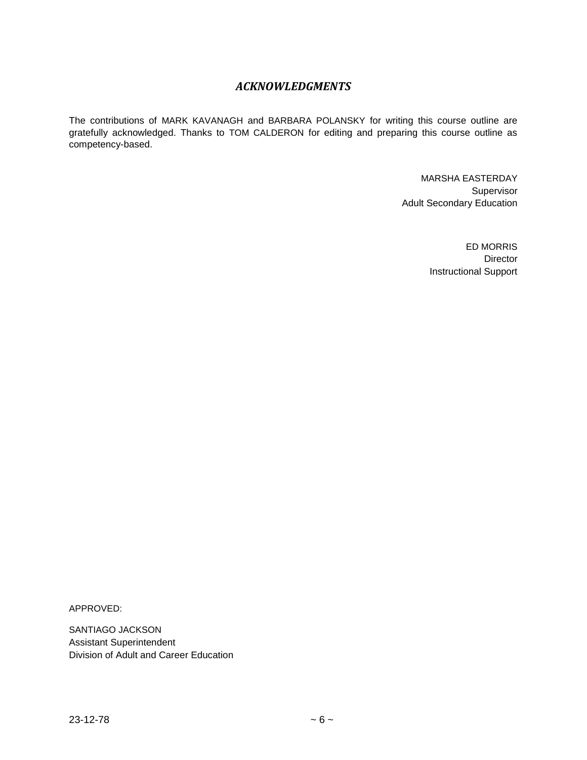## *ACKNOWLEDGMENTS*

The contributions of MARK KAVANAGH and BARBARA POLANSKY for writing this course outline are gratefully acknowledged. Thanks to TOM CALDERON for editing and preparing this course outline as competency-based.

> MARSHA EASTERDAY Supervisor Adult Secondary Education

> > ED MORRIS Director Instructional Support

APPROVED:

SANTIAGO JACKSON Assistant Superintendent Division of Adult and Career Education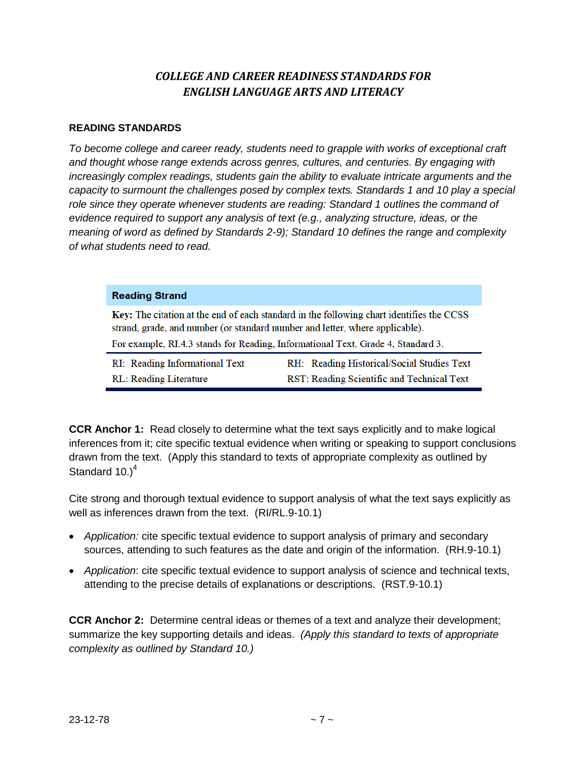#### **READING STANDARDS**

*To become college and career ready, students need to grapple with works of exceptional craft and thought whose range extends across genres, cultures, and centuries. By engaging with increasingly complex readings, students gain the ability to evaluate intricate arguments and the capacity to surmount the challenges posed by complex texts. Standards 1 and 10 play a special role since they operate whenever students are reading: Standard 1 outlines the command of evidence required to support any analysis of text (e.g., analyzing structure, ideas, or the meaning of word as defined by Standards 2-9); Standard 10 defines the range and complexity of what students need to read.* 

#### **Reading Strand**

Key: The citation at the end of each standard in the following chart identifies the CCSS strand, grade, and number (or standard number and letter, where applicable).

For example, RI.4.3 stands for Reading, Informational Text, Grade 4, Standard 3.

| RI: Reading Informational Text | RH: Reading Historical/Social Studies Text |
|--------------------------------|--------------------------------------------|
| <b>RL:</b> Reading Literature  | RST: Reading Scientific and Technical Text |

**CCR Anchor 1:** Read closely to determine what the text says explicitly and to make logical inferences from it; cite specific textual evidence when writing or speaking to support conclusions drawn from the text. (Apply this standard to texts of appropriate complexity as outlined by Standard  $10.1<sup>4</sup>$ 

Cite strong and thorough textual evidence to support analysis of what the text says explicitly as well as inferences drawn from the text. (RI/RL.9-10.1)

- *Application:* cite specific textual evidence to support analysis of primary and secondary sources, attending to such features as the date and origin of the information. (RH.9-10.1)
- *Application*: cite specific textual evidence to support analysis of science and technical texts, attending to the precise details of explanations or descriptions. (RST.9-10.1)

**CCR Anchor 2:** Determine central ideas or themes of a text and analyze their development; summarize the key supporting details and ideas. *(Apply this standard to texts of appropriate complexity as outlined by Standard 10.)*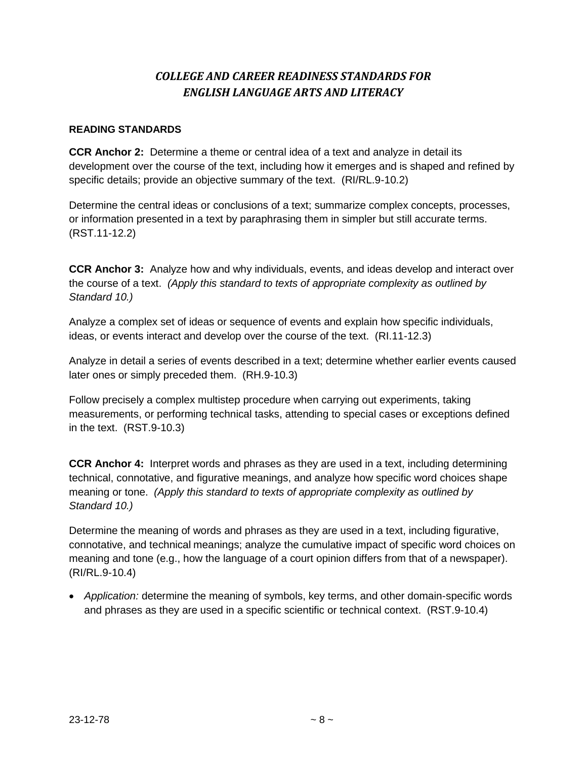## **READING STANDARDS**

**CCR Anchor 2:** Determine a theme or central idea of a text and analyze in detail its development over the course of the text, including how it emerges and is shaped and refined by specific details; provide an objective summary of the text. (RI/RL.9-10.2)

Determine the central ideas or conclusions of a text; summarize complex concepts, processes, or information presented in a text by paraphrasing them in simpler but still accurate terms. (RST.11-12.2)

**CCR Anchor 3:** Analyze how and why individuals, events, and ideas develop and interact over the course of a text. *(Apply this standard to texts of appropriate complexity as outlined by Standard 10.)*

Analyze a complex set of ideas or sequence of events and explain how specific individuals, ideas, or events interact and develop over the course of the text. (RI.11-12.3)

Analyze in detail a series of events described in a text; determine whether earlier events caused later ones or simply preceded them. (RH.9-10.3)

Follow precisely a complex multistep procedure when carrying out experiments, taking measurements, or performing technical tasks, attending to special cases or exceptions defined in the text. (RST.9-10.3)

**CCR Anchor 4:** Interpret words and phrases as they are used in a text, including determining technical, connotative, and figurative meanings, and analyze how specific word choices shape meaning or tone. *(Apply this standard to texts of appropriate complexity as outlined by Standard 10.)*

Determine the meaning of words and phrases as they are used in a text, including figurative, connotative, and technical meanings; analyze the cumulative impact of specific word choices on meaning and tone (e.g., how the language of a court opinion differs from that of a newspaper). (RI/RL.9-10.4)

 *Application:* determine the meaning of symbols, key terms, and other domain-specific words and phrases as they are used in a specific scientific or technical context. (RST.9-10.4)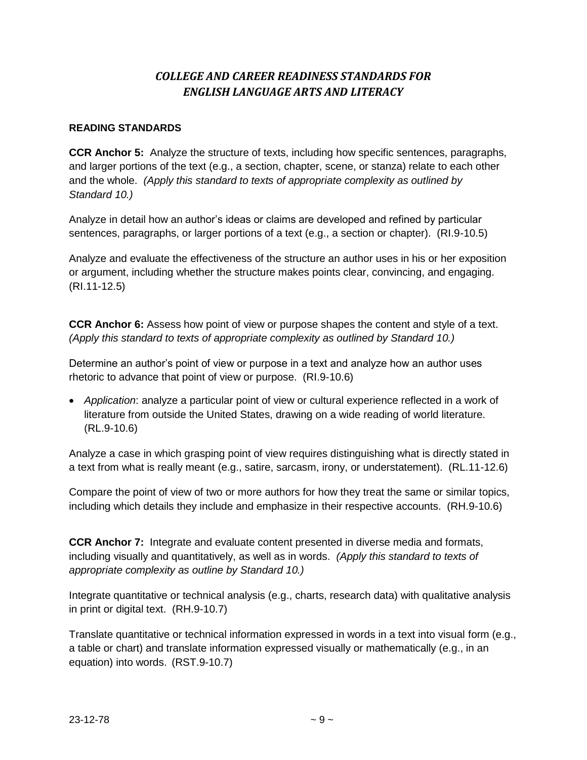#### **READING STANDARDS**

**CCR Anchor 5:** Analyze the structure of texts, including how specific sentences, paragraphs, and larger portions of the text (e.g., a section, chapter, scene, or stanza) relate to each other and the whole. *(Apply this standard to texts of appropriate complexity as outlined by Standard 10.)*

Analyze in detail how an author's ideas or claims are developed and refined by particular sentences, paragraphs, or larger portions of a text (e.g., a section or chapter). (RI.9-10.5)

Analyze and evaluate the effectiveness of the structure an author uses in his or her exposition or argument, including whether the structure makes points clear, convincing, and engaging. (RI.11-12.5)

**CCR Anchor 6:** Assess how point of view or purpose shapes the content and style of a text. *(Apply this standard to texts of appropriate complexity as outlined by Standard 10.)*

Determine an author's point of view or purpose in a text and analyze how an author uses rhetoric to advance that point of view or purpose. (RI.9-10.6)

 *Application*: analyze a particular point of view or cultural experience reflected in a work of literature from outside the United States, drawing on a wide reading of world literature. (RL.9-10.6)

Analyze a case in which grasping point of view requires distinguishing what is directly stated in a text from what is really meant (e.g., satire, sarcasm, irony, or understatement). (RL.11-12.6)

Compare the point of view of two or more authors for how they treat the same or similar topics, including which details they include and emphasize in their respective accounts. (RH.9-10.6)

**CCR Anchor 7:** Integrate and evaluate content presented in diverse media and formats, including visually and quantitatively, as well as in words. *(Apply this standard to texts of appropriate complexity as outline by Standard 10.)*

Integrate quantitative or technical analysis (e.g., charts, research data) with qualitative analysis in print or digital text. (RH.9-10.7)

Translate quantitative or technical information expressed in words in a text into visual form (e.g., a table or chart) and translate information expressed visually or mathematically (e.g., in an equation) into words. (RST.9-10.7)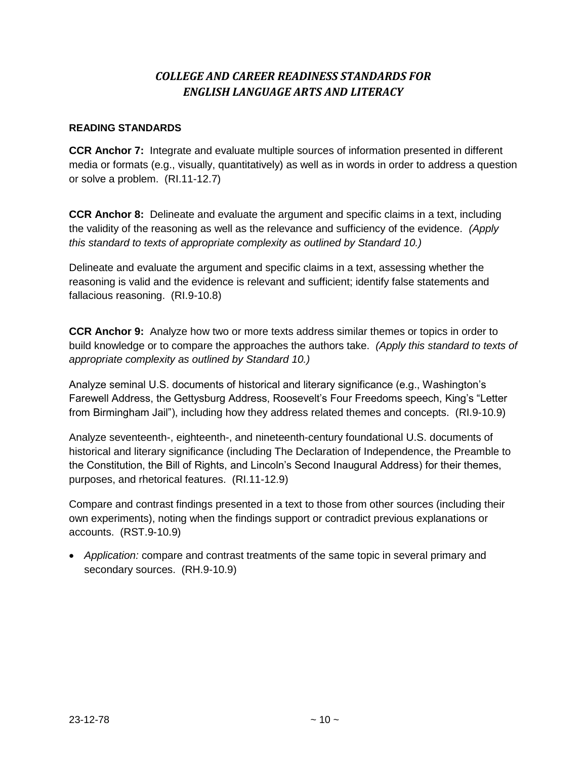#### **READING STANDARDS**

**CCR Anchor 7:** Integrate and evaluate multiple sources of information presented in different media or formats (e.g., visually, quantitatively) as well as in words in order to address a question or solve a problem. (RI.11-12.7)

**CCR Anchor 8:** Delineate and evaluate the argument and specific claims in a text, including the validity of the reasoning as well as the relevance and sufficiency of the evidence. *(Apply this standard to texts of appropriate complexity as outlined by Standard 10.)*

Delineate and evaluate the argument and specific claims in a text, assessing whether the reasoning is valid and the evidence is relevant and sufficient; identify false statements and fallacious reasoning. (RI.9-10.8)

**CCR Anchor 9:** Analyze how two or more texts address similar themes or topics in order to build knowledge or to compare the approaches the authors take. *(Apply this standard to texts of appropriate complexity as outlined by Standard 10.)*

Analyze seminal U.S. documents of historical and literary significance (e.g., Washington's Farewell Address, the Gettysburg Address, Roosevelt's Four Freedoms speech, King's "Letter from Birmingham Jail"), including how they address related themes and concepts. (RI.9-10.9)

Analyze seventeenth-, eighteenth-, and nineteenth-century foundational U.S. documents of historical and literary significance (including The Declaration of Independence, the Preamble to the Constitution, the Bill of Rights, and Lincoln's Second Inaugural Address) for their themes, purposes, and rhetorical features. (RI.11-12.9)

Compare and contrast findings presented in a text to those from other sources (including their own experiments), noting when the findings support or contradict previous explanations or accounts. (RST.9-10.9)

 *Application:* compare and contrast treatments of the same topic in several primary and secondary sources. (RH.9-10.9)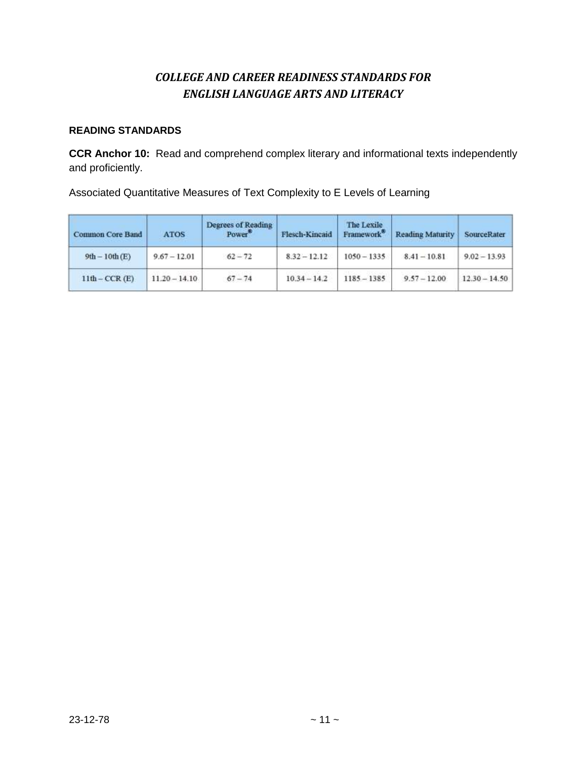### **READING STANDARDS**

**CCR Anchor 10:** Read and comprehend complex literary and informational texts independently and proficiently.

Associated Quantitative Measures of Text Complexity to E Levels of Learning

| <b>Common Core Band</b> | <b>ATOS</b>     | Degrees of Reading<br>Power | Flesch-Kincaid | The Lexile<br>Framework <sup>*</sup> | <b>Reading Maturity</b> | SourceRater     |
|-------------------------|-----------------|-----------------------------|----------------|--------------------------------------|-------------------------|-----------------|
| $9th - 10th(E)$         | $9.67 - 12.01$  | $62 - 72$                   | $8.32 - 12.12$ | $1050 - 1335$                        | $8.41 - 10.81$          | $9.02 - 13.93$  |
| $11th$ – CCR $(E)$      | $11.20 - 14.10$ | $67 - 74$                   | $10.34 - 14.2$ | $1185 - 1385$                        | $9.57 - 12.00$          | $12.30 - 14.50$ |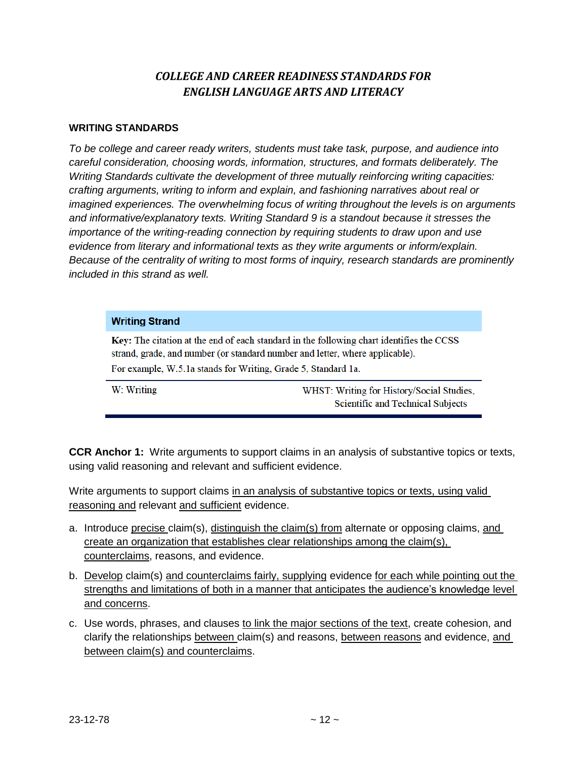#### **WRITING STANDARDS**

*To be college and career ready writers, students must take task, purpose, and audience into careful consideration, choosing words, information, structures, and formats deliberately. The Writing Standards cultivate the development of three mutually reinforcing writing capacities: crafting arguments, writing to inform and explain, and fashioning narratives about real or imagined experiences. The overwhelming focus of writing throughout the levels is on arguments and informative/explanatory texts. Writing Standard 9 is a standout because it stresses the importance of the writing-reading connection by requiring students to draw upon and use evidence from literary and informational texts as they write arguments or inform/explain. Because of the centrality of writing to most forms of inquiry, research standards are prominently included in this strand as well.*

#### **Writing Strand**

Key: The citation at the end of each standard in the following chart identifies the CCSS strand, grade, and number (or standard number and letter, where applicable).

For example, W.5.1a stands for Writing, Grade 5, Standard 1a.

W: Writing

WHST: Writing for History/Social Studies, Scientific and Technical Subjects

**CCR Anchor 1:** Write arguments to support claims in an analysis of substantive topics or texts, using valid reasoning and relevant and sufficient evidence.

Write arguments to support claims in an analysis of substantive topics or texts, using valid reasoning and relevant and sufficient evidence.

- a. Introduce precise claim(s), distinguish the claim(s) from alternate or opposing claims, and create an organization that establishes clear relationships among the claim(s), counterclaims, reasons, and evidence.
- b. Develop claim(s) and counterclaims fairly, supplying evidence for each while pointing out the strengths and limitations of both in a manner that anticipates the audience's knowledge level and concerns.
- c. Use words, phrases, and clauses to link the major sections of the text, create cohesion, and clarify the relationships between claim(s) and reasons, between reasons and evidence, and between claim(s) and counterclaims.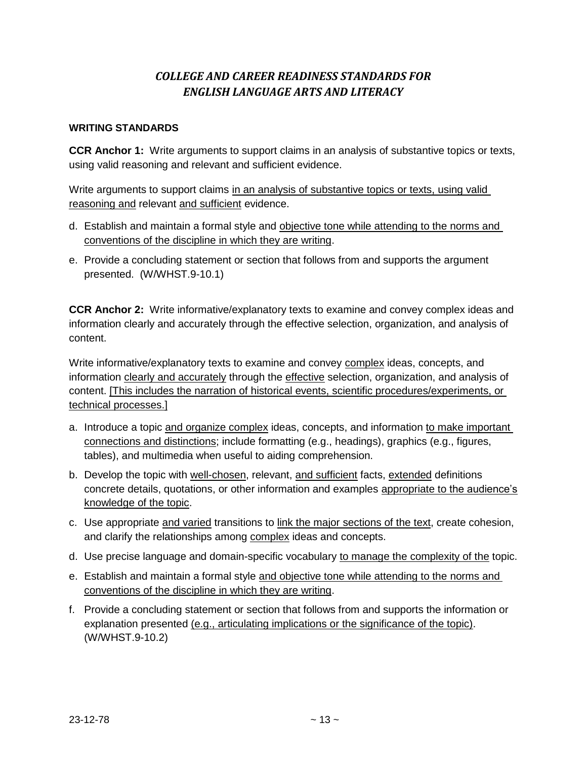#### **WRITING STANDARDS**

**CCR Anchor 1:** Write arguments to support claims in an analysis of substantive topics or texts, using valid reasoning and relevant and sufficient evidence.

Write arguments to support claims in an analysis of substantive topics or texts, using valid reasoning and relevant and sufficient evidence.

- d. Establish and maintain a formal style and objective tone while attending to the norms and conventions of the discipline in which they are writing.
- e. Provide a concluding statement or section that follows from and supports the argument presented. (W/WHST.9-10.1)

**CCR Anchor 2:** Write informative/explanatory texts to examine and convey complex ideas and information clearly and accurately through the effective selection, organization, and analysis of content.

Write informative/explanatory texts to examine and convey complex ideas, concepts, and information clearly and accurately through the effective selection, organization, and analysis of content. [This includes the narration of historical events, scientific procedures/experiments, or technical processes.]

- a. Introduce a topic and organize complex ideas, concepts, and information to make important connections and distinctions; include formatting (e.g., headings), graphics (e.g., figures, tables), and multimedia when useful to aiding comprehension.
- b. Develop the topic with well-chosen, relevant, and sufficient facts, extended definitions concrete details, quotations, or other information and examples appropriate to the audience's knowledge of the topic.
- c. Use appropriate and varied transitions to link the major sections of the text, create cohesion, and clarify the relationships among complex ideas and concepts.
- d. Use precise language and domain-specific vocabulary to manage the complexity of the topic.
- e. Establish and maintain a formal style and objective tone while attending to the norms and conventions of the discipline in which they are writing.
- f. Provide a concluding statement or section that follows from and supports the information or explanation presented (e.g., articulating implications or the significance of the topic). (W/WHST.9-10.2)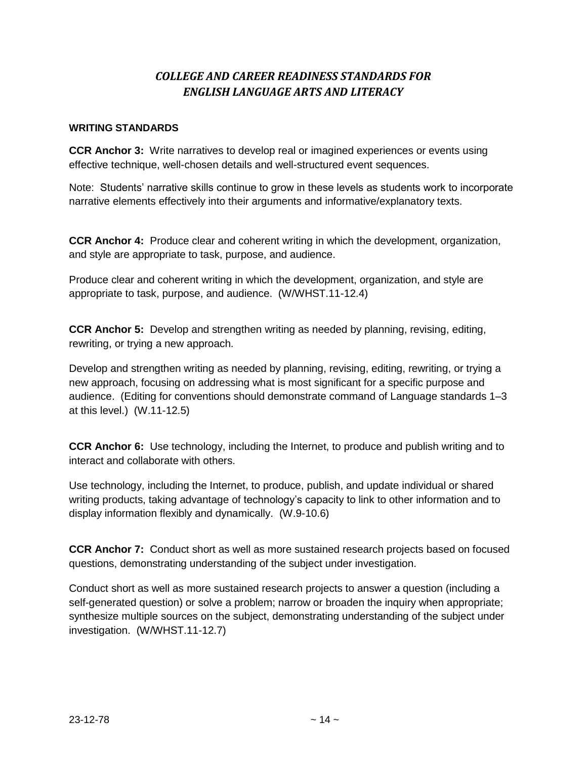#### **WRITING STANDARDS**

**CCR Anchor 3:** Write narratives to develop real or imagined experiences or events using effective technique, well-chosen details and well-structured event sequences.

Note: Students' narrative skills continue to grow in these levels as students work to incorporate narrative elements effectively into their arguments and informative/explanatory texts.

**CCR Anchor 4:** Produce clear and coherent writing in which the development, organization, and style are appropriate to task, purpose, and audience.

Produce clear and coherent writing in which the development, organization, and style are appropriate to task, purpose, and audience. (W/WHST.11-12.4)

**CCR Anchor 5:** Develop and strengthen writing as needed by planning, revising, editing, rewriting, or trying a new approach.

Develop and strengthen writing as needed by planning, revising, editing, rewriting, or trying a new approach, focusing on addressing what is most significant for a specific purpose and audience. (Editing for conventions should demonstrate command of Language standards 1–3 at this level.) (W.11-12.5)

**CCR Anchor 6:** Use technology, including the Internet, to produce and publish writing and to interact and collaborate with others.

Use technology, including the Internet, to produce, publish, and update individual or shared writing products, taking advantage of technology's capacity to link to other information and to display information flexibly and dynamically. (W.9-10.6)

**CCR Anchor 7:** Conduct short as well as more sustained research projects based on focused questions, demonstrating understanding of the subject under investigation.

Conduct short as well as more sustained research projects to answer a question (including a self-generated question) or solve a problem; narrow or broaden the inquiry when appropriate; synthesize multiple sources on the subject, demonstrating understanding of the subject under investigation. (W/WHST.11-12.7)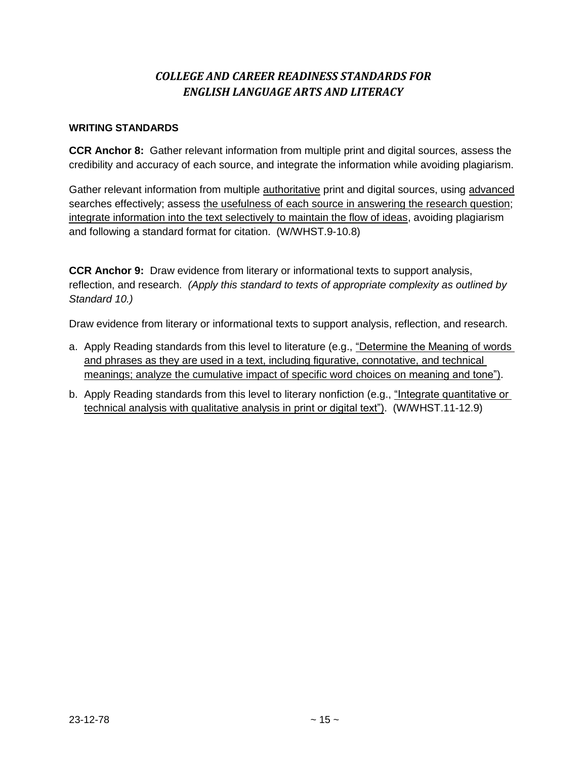#### **WRITING STANDARDS**

**CCR Anchor 8:** Gather relevant information from multiple print and digital sources, assess the credibility and accuracy of each source, and integrate the information while avoiding plagiarism.

Gather relevant information from multiple authoritative print and digital sources, using advanced searches effectively; assess the usefulness of each source in answering the research question; integrate information into the text selectively to maintain the flow of ideas, avoiding plagiarism and following a standard format for citation. (W/WHST.9-10.8)

**CCR Anchor 9:** Draw evidence from literary or informational texts to support analysis, reflection, and research. *(Apply this standard to texts of appropriate complexity as outlined by Standard 10.)* 

Draw evidence from literary or informational texts to support analysis, reflection, and research.

- a. Apply Reading standards from this level to literature (e.g., "Determine the Meaning of words and phrases as they are used in a text, including figurative, connotative, and technical meanings; analyze the cumulative impact of specific word choices on meaning and tone").
- b. Apply Reading standards from this level to literary nonfiction (e.g., "Integrate quantitative or technical analysis with qualitative analysis in print or digital text"). (W/WHST.11-12.9)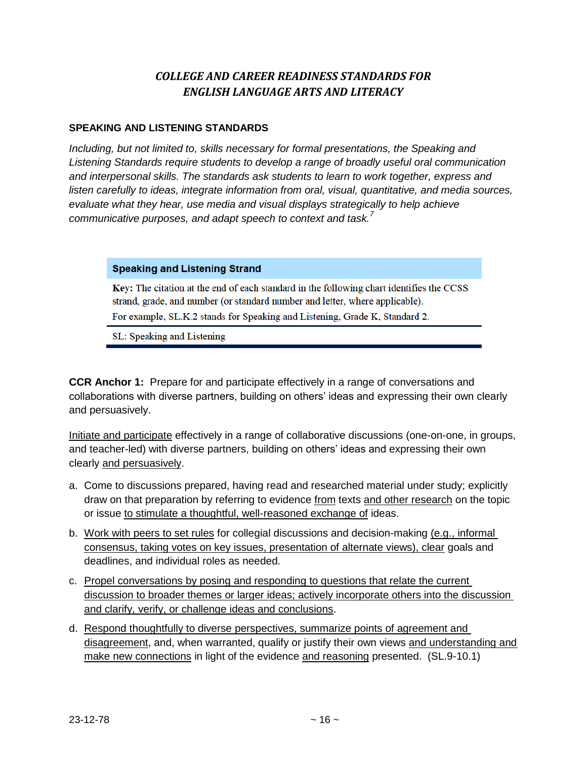#### **SPEAKING AND LISTENING STANDARDS**

*Including, but not limited to, skills necessary for formal presentations, the Speaking and Listening Standards require students to develop a range of broadly useful oral communication and interpersonal skills. The standards ask students to learn to work together, express and listen carefully to ideas, integrate information from oral, visual, quantitative, and media sources, evaluate what they hear, use media and visual displays strategically to help achieve communicative purposes, and adapt speech to context and task.<sup>7</sup>*

#### **Speaking and Listening Strand**

Key: The citation at the end of each standard in the following chart identifies the CCSS strand, grade, and number (or standard number and letter, where applicable).

For example, SL.K.2 stands for Speaking and Listening, Grade K, Standard 2.

SL: Speaking and Listening

**CCR Anchor 1:** Prepare for and participate effectively in a range of conversations and collaborations with diverse partners, building on others' ideas and expressing their own clearly and persuasively.

Initiate and participate effectively in a range of collaborative discussions (one-on-one, in groups, and teacher-led) with diverse partners, building on others' ideas and expressing their own clearly and persuasively.

- a. Come to discussions prepared, having read and researched material under study; explicitly draw on that preparation by referring to evidence from texts and other research on the topic or issue to stimulate a thoughtful, well-reasoned exchange of ideas.
- b. Work with peers to set rules for collegial discussions and decision-making (e.g., informal consensus, taking votes on key issues, presentation of alternate views), clear goals and deadlines, and individual roles as needed.
- c. Propel conversations by posing and responding to questions that relate the current discussion to broader themes or larger ideas; actively incorporate others into the discussion and clarify, verify, or challenge ideas and conclusions.
- d. Respond thoughtfully to diverse perspectives, summarize points of agreement and disagreement, and, when warranted, qualify or justify their own views and understanding and make new connections in light of the evidence and reasoning presented. (SL.9-10.1)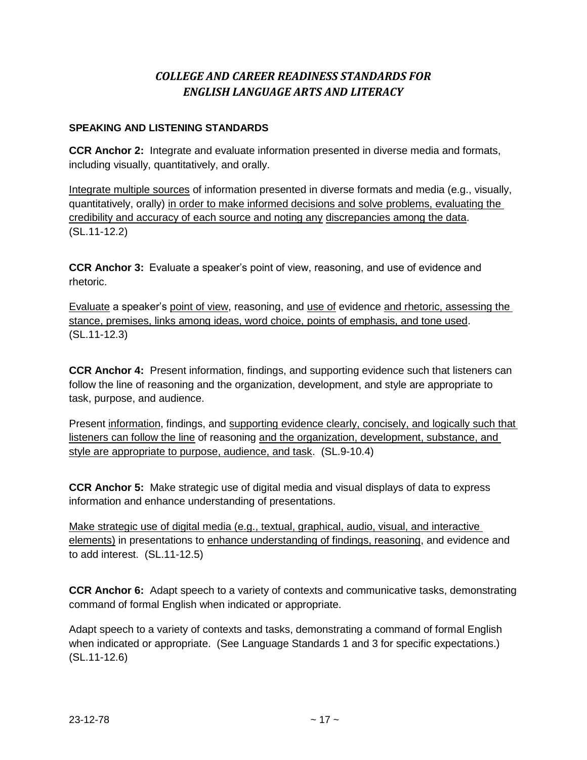#### **SPEAKING AND LISTENING STANDARDS**

**CCR Anchor 2:** Integrate and evaluate information presented in diverse media and formats, including visually, quantitatively, and orally.

Integrate multiple sources of information presented in diverse formats and media (e.g., visually, quantitatively, orally) in order to make informed decisions and solve problems, evaluating the credibility and accuracy of each source and noting any discrepancies among the data. (SL.11-12.2)

**CCR Anchor 3:** Evaluate a speaker's point of view, reasoning, and use of evidence and rhetoric.

Evaluate a speaker's point of view, reasoning, and use of evidence and rhetoric, assessing the stance, premises, links among ideas, word choice, points of emphasis, and tone used. (SL.11-12.3)

**CCR Anchor 4:** Present information, findings, and supporting evidence such that listeners can follow the line of reasoning and the organization, development, and style are appropriate to task, purpose, and audience.

Present information, findings, and supporting evidence clearly, concisely, and logically such that listeners can follow the line of reasoning and the organization, development, substance, and style are appropriate to purpose, audience, and task. (SL.9-10.4)

**CCR Anchor 5:** Make strategic use of digital media and visual displays of data to express information and enhance understanding of presentations.

Make strategic use of digital media (e.g., textual, graphical, audio, visual, and interactive elements) in presentations to enhance understanding of findings, reasoning, and evidence and to add interest. (SL.11-12.5)

**CCR Anchor 6:** Adapt speech to a variety of contexts and communicative tasks, demonstrating command of formal English when indicated or appropriate.

Adapt speech to a variety of contexts and tasks, demonstrating a command of formal English when indicated or appropriate. (See Language Standards 1 and 3 for specific expectations.) (SL.11-12.6)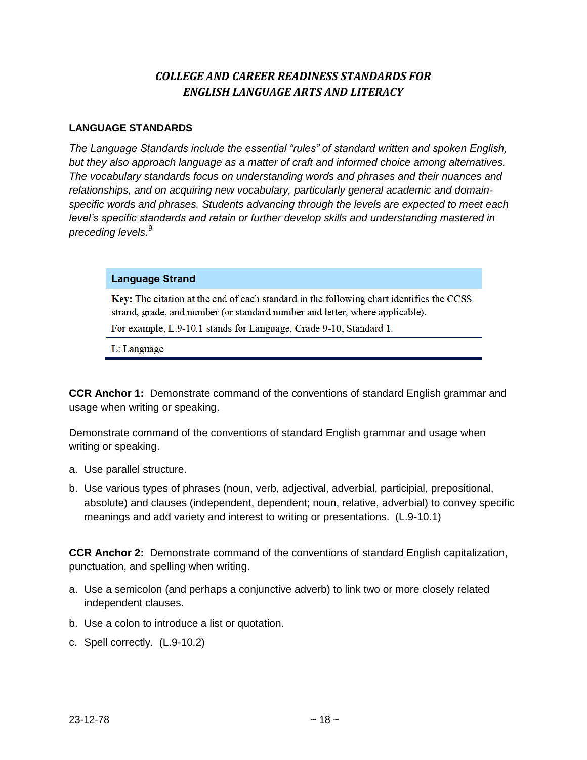#### **LANGUAGE STANDARDS**

*The Language Standards include the essential "rules" of standard written and spoken English, but they also approach language as a matter of craft and informed choice among alternatives. The vocabulary standards focus on understanding words and phrases and their nuances and relationships, and on acquiring new vocabulary, particularly general academic and domainspecific words and phrases. Students advancing through the levels are expected to meet each level's specific standards and retain or further develop skills and understanding mastered in preceding levels.<sup>9</sup>*

#### **Language Strand**

Key: The citation at the end of each standard in the following chart identifies the CCSS strand, grade, and number (or standard number and letter, where applicable).

For example, L.9-10.1 stands for Language, Grade 9-10, Standard 1.

L: Language

**CCR Anchor 1:** Demonstrate command of the conventions of standard English grammar and usage when writing or speaking.

Demonstrate command of the conventions of standard English grammar and usage when writing or speaking.

- a. Use parallel structure.
- b. Use various types of phrases (noun, verb, adjectival, adverbial, participial, prepositional, absolute) and clauses (independent, dependent; noun, relative, adverbial) to convey specific meanings and add variety and interest to writing or presentations. (L.9-10.1)

**CCR Anchor 2:** Demonstrate command of the conventions of standard English capitalization, punctuation, and spelling when writing.

- a. Use a semicolon (and perhaps a conjunctive adverb) to link two or more closely related independent clauses.
- b. Use a colon to introduce a list or quotation.
- c. Spell correctly. (L.9-10.2)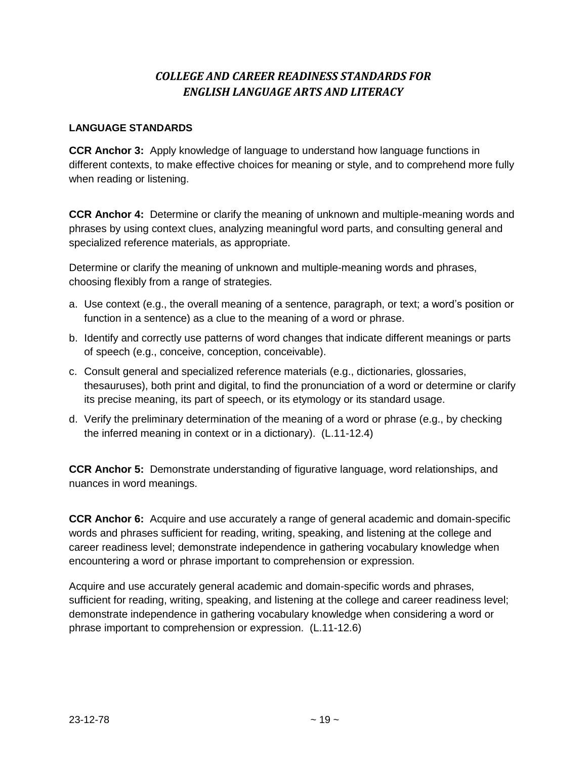#### **LANGUAGE STANDARDS**

**CCR Anchor 3:** Apply knowledge of language to understand how language functions in different contexts, to make effective choices for meaning or style, and to comprehend more fully when reading or listening.

**CCR Anchor 4:** Determine or clarify the meaning of unknown and multiple-meaning words and phrases by using context clues, analyzing meaningful word parts, and consulting general and specialized reference materials, as appropriate.

Determine or clarify the meaning of unknown and multiple-meaning words and phrases, choosing flexibly from a range of strategies.

- a. Use context (e.g., the overall meaning of a sentence, paragraph, or text; a word's position or function in a sentence) as a clue to the meaning of a word or phrase.
- b. Identify and correctly use patterns of word changes that indicate different meanings or parts of speech (e.g., conceive, conception, conceivable).
- c. Consult general and specialized reference materials (e.g., dictionaries, glossaries, thesauruses), both print and digital, to find the pronunciation of a word or determine or clarify its precise meaning, its part of speech, or its etymology or its standard usage.
- d. Verify the preliminary determination of the meaning of a word or phrase (e.g., by checking the inferred meaning in context or in a dictionary). (L.11-12.4)

**CCR Anchor 5:** Demonstrate understanding of figurative language, word relationships, and nuances in word meanings.

**CCR Anchor 6:** Acquire and use accurately a range of general academic and domain-specific words and phrases sufficient for reading, writing, speaking, and listening at the college and career readiness level; demonstrate independence in gathering vocabulary knowledge when encountering a word or phrase important to comprehension or expression.

Acquire and use accurately general academic and domain-specific words and phrases, sufficient for reading, writing, speaking, and listening at the college and career readiness level; demonstrate independence in gathering vocabulary knowledge when considering a word or phrase important to comprehension or expression. (L.11-12.6)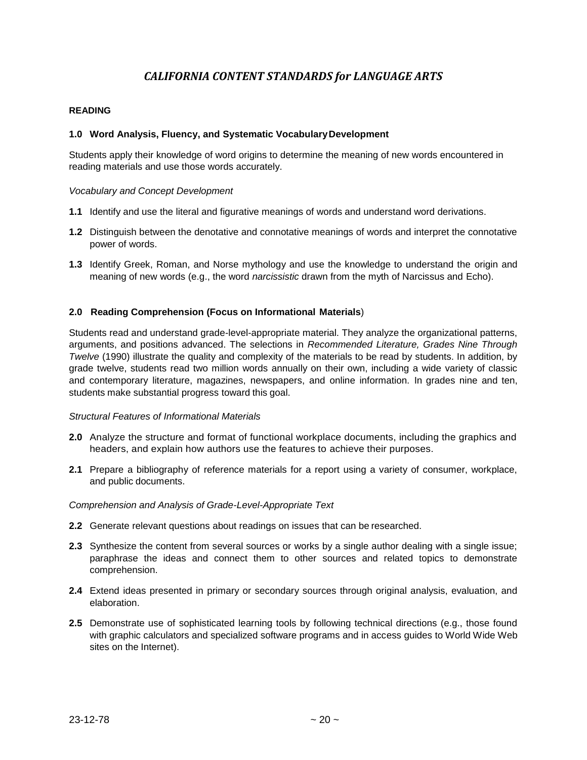## *CALIFORNIA CONTENT STANDARDS for LANGUAGE ARTS*

#### **READING**

#### **1.0 Word Analysis, Fluency, and Systematic VocabularyDevelopment**

Students apply their knowledge of word origins to determine the meaning of new words encountered in reading materials and use those words accurately.

#### *Vocabulary and Concept Development*

- **1.1** Identify and use the literal and figurative meanings of words and understand word derivations.
- **1.2** Distinguish between the denotative and connotative meanings of words and interpret the connotative power of words.
- **1.3** Identify Greek, Roman, and Norse mythology and use the knowledge to understand the origin and meaning of new words (e.g., the word *narcissistic* drawn from the myth of Narcissus and Echo).

#### **2.0 Reading Comprehension (Focus on Informational Materials**)

Students read and understand grade-level-appropriate material. They analyze the organizational patterns, arguments, and positions advanced. The selections in *Recommended Literature, Grades Nine Through Twelve* (1990) illustrate the quality and complexity of the materials to be read by students. In addition, by grade twelve, students read two million words annually on their own, including a wide variety of classic and contemporary literature, magazines, newspapers, and online information. In grades nine and ten, students make substantial progress toward this goal.

#### *Structural Features of Informational Materials*

- **2.0** Analyze the structure and format of functional workplace documents, including the graphics and headers, and explain how authors use the features to achieve their purposes.
- **2.1** Prepare a bibliography of reference materials for a report using a variety of consumer, workplace, and public documents.

#### *Comprehension and Analysis of Grade-Level-Appropriate Text*

- **2.2** Generate relevant questions about readings on issues that can be researched.
- **2.3** Synthesize the content from several sources or works by a single author dealing with a single issue; paraphrase the ideas and connect them to other sources and related topics to demonstrate comprehension.
- **2.4** Extend ideas presented in primary or secondary sources through original analysis, evaluation, and elaboration.
- **2.5** Demonstrate use of sophisticated learning tools by following technical directions (e.g., those found with graphic calculators and specialized software programs and in access guides to World Wide Web sites on the Internet).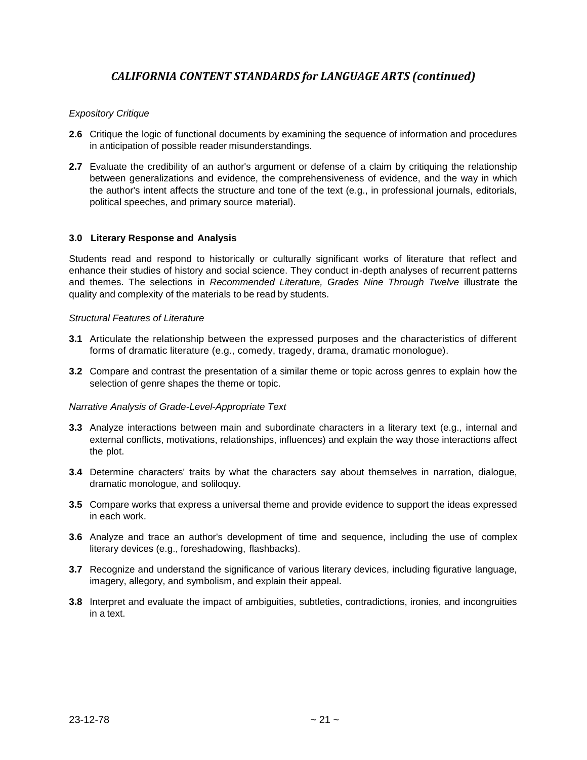#### *Expository Critique*

- **2.6** Critique the logic of functional documents by examining the sequence of information and procedures in anticipation of possible reader misunderstandings.
- **2.7** Evaluate the credibility of an author's argument or defense of a claim by critiquing the relationship between generalizations and evidence, the comprehensiveness of evidence, and the way in which the author's intent affects the structure and tone of the text (e.g., in professional journals, editorials, political speeches, and primary source material).

#### **3.0 Literary Response and Analysis**

Students read and respond to historically or culturally significant works of literature that reflect and enhance their studies of history and social science. They conduct in-depth analyses of recurrent patterns and themes. The selections in *Recommended Literature, Grades Nine Through Twelve* illustrate the quality and complexity of the materials to be read by students.

#### *Structural Features of Literature*

- **3.1** Articulate the relationship between the expressed purposes and the characteristics of different forms of dramatic literature (e.g., comedy, tragedy, drama, dramatic monologue).
- **3.2** Compare and contrast the presentation of a similar theme or topic across genres to explain how the selection of genre shapes the theme or topic.

#### *Narrative Analysis of Grade-Level-Appropriate Text*

- **3.3** Analyze interactions between main and subordinate characters in a literary text (e.g., internal and external conflicts, motivations, relationships, influences) and explain the way those interactions affect the plot.
- **3.4** Determine characters' traits by what the characters say about themselves in narration, dialogue, dramatic monologue, and soliloquy.
- **3.5** Compare works that express a universal theme and provide evidence to support the ideas expressed in each work.
- **3.6** Analyze and trace an author's development of time and sequence, including the use of complex literary devices (e.g., foreshadowing, flashbacks).
- **3.7** Recognize and understand the significance of various literary devices, including figurative language, imagery, allegory, and symbolism, and explain their appeal.
- **3.8** Interpret and evaluate the impact of ambiguities, subtleties, contradictions, ironies, and incongruities in a text.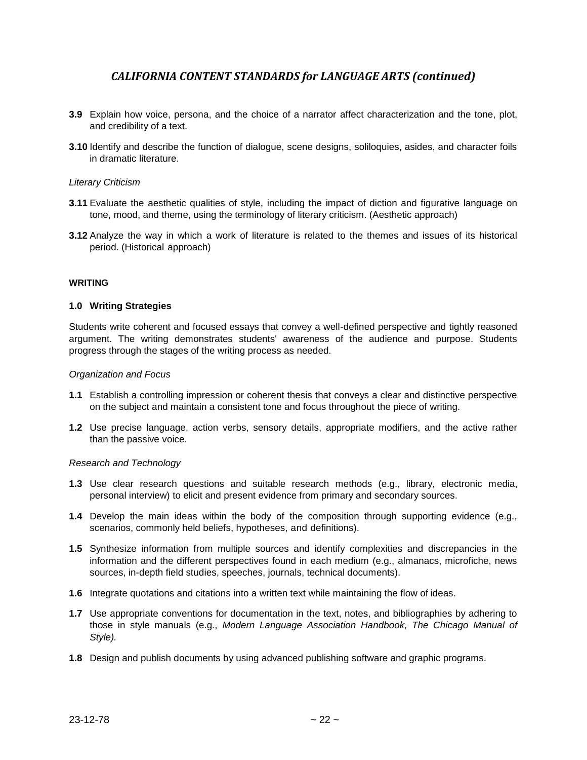- **3.9** Explain how voice, persona, and the choice of a narrator affect characterization and the tone, plot, and credibility of a text.
- **3.10** Identify and describe the function of dialogue, scene designs, soliloquies, asides, and character foils in dramatic literature.

#### *Literary Criticism*

- **3.11** Evaluate the aesthetic qualities of style, including the impact of diction and figurative language on tone, mood, and theme, using the terminology of literary criticism. (Aesthetic approach)
- **3.12** Analyze the way in which a work of literature is related to the themes and issues of its historical period. (Historical approach)

#### **WRITING**

#### **1.0 Writing Strategies**

Students write coherent and focused essays that convey a well-defined perspective and tightly reasoned argument. The writing demonstrates students' awareness of the audience and purpose. Students progress through the stages of the writing process as needed.

#### *Organization and Focus*

- **1.1** Establish a controlling impression or coherent thesis that conveys a clear and distinctive perspective on the subject and maintain a consistent tone and focus throughout the piece of writing.
- **1.2** Use precise language, action verbs, sensory details, appropriate modifiers, and the active rather than the passive voice.

#### *Research and Technology*

- **1.3** Use clear research questions and suitable research methods (e.g., library, electronic media, personal interview) to elicit and present evidence from primary and secondary sources.
- **1.4** Develop the main ideas within the body of the composition through supporting evidence (e.g., scenarios, commonly held beliefs, hypotheses, and definitions).
- **1.5** Synthesize information from multiple sources and identify complexities and discrepancies in the information and the different perspectives found in each medium (e.g., almanacs, microfiche, news sources, in-depth field studies, speeches, journals, technical documents).
- **1.6** Integrate quotations and citations into a written text while maintaining the flow of ideas.
- **1.7** Use appropriate conventions for documentation in the text, notes, and bibliographies by adhering to those in style manuals (e.g., *Modern Language Association Handbook, The Chicago Manual of Style).*
- **1.8** Design and publish documents by using advanced publishing software and graphic programs.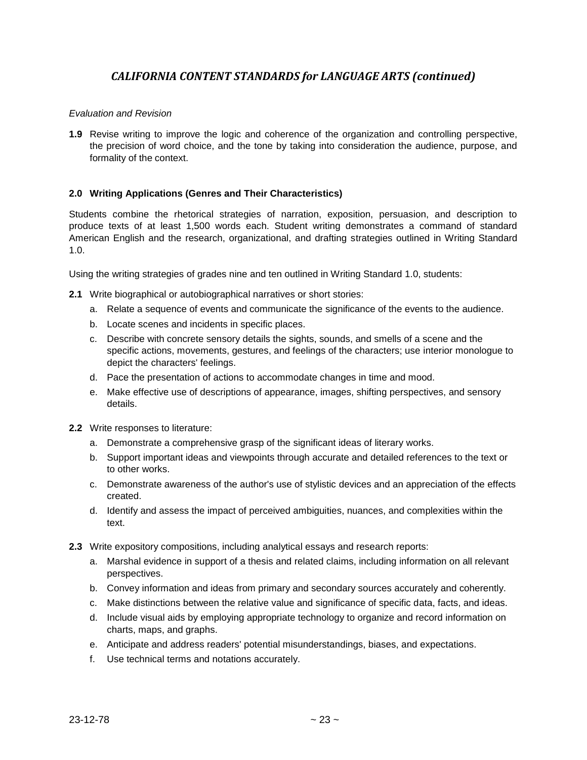#### *Evaluation and Revision*

**1.9** Revise writing to improve the logic and coherence of the organization and controlling perspective, the precision of word choice, and the tone by taking into consideration the audience, purpose, and formality of the context.

#### **2.0 Writing Applications (Genres and Their Characteristics)**

Students combine the rhetorical strategies of narration, exposition, persuasion, and description to produce texts of at least 1,500 words each. Student writing demonstrates a command of standard American English and the research, organizational, and drafting strategies outlined in Writing Standard 1.0.

Using the writing strategies of grades nine and ten outlined in Writing Standard 1.0, students:

**2.1** Write biographical or autobiographical narratives or short stories:

- a. Relate a sequence of events and communicate the significance of the events to the audience.
- b. Locate scenes and incidents in specific places.
- c. Describe with concrete sensory details the sights, sounds, and smells of a scene and the specific actions, movements, gestures, and feelings of the characters; use interior monologue to depict the characters' feelings.
- d. Pace the presentation of actions to accommodate changes in time and mood.
- e. Make effective use of descriptions of appearance, images, shifting perspectives, and sensory details.
- **2.2** Write responses to literature:
	- a. Demonstrate a comprehensive grasp of the significant ideas of literary works.
	- b. Support important ideas and viewpoints through accurate and detailed references to the text or to other works.
	- c. Demonstrate awareness of the author's use of stylistic devices and an appreciation of the effects created.
	- d. Identify and assess the impact of perceived ambiguities, nuances, and complexities within the text.
- **2.3** Write expository compositions, including analytical essays and research reports:
	- a. Marshal evidence in support of a thesis and related claims, including information on all relevant perspectives.
	- b. Convey information and ideas from primary and secondary sources accurately and coherently.
	- c. Make distinctions between the relative value and significance of specific data, facts, and ideas.
	- d. Include visual aids by employing appropriate technology to organize and record information on charts, maps, and graphs.
	- e. Anticipate and address readers' potential misunderstandings, biases, and expectations.
	- f. Use technical terms and notations accurately.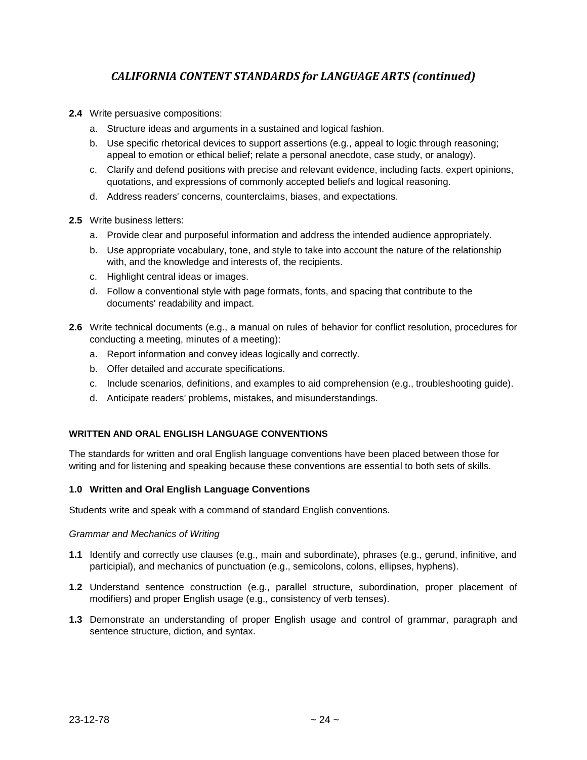- **2.4** Write persuasive compositions:
	- a. Structure ideas and arguments in a sustained and logical fashion.
	- b. Use specific rhetorical devices to support assertions (e.g., appeal to logic through reasoning; appeal to emotion or ethical belief; relate a personal anecdote, case study, or analogy).
	- c. Clarify and defend positions with precise and relevant evidence, including facts, expert opinions, quotations, and expressions of commonly accepted beliefs and logical reasoning.
	- d. Address readers' concerns, counterclaims, biases, and expectations.
- **2.5** Write business letters:
	- a. Provide clear and purposeful information and address the intended audience appropriately.
	- b. Use appropriate vocabulary, tone, and style to take into account the nature of the relationship with, and the knowledge and interests of, the recipients.
	- c. Highlight central ideas or images.
	- d. Follow a conventional style with page formats, fonts, and spacing that contribute to the documents' readability and impact.
- **2.6** Write technical documents (e.g., a manual on rules of behavior for conflict resolution, procedures for conducting a meeting, minutes of a meeting):
	- a. Report information and convey ideas logically and correctly.
	- b. Offer detailed and accurate specifications.
	- c. Include scenarios, definitions, and examples to aid comprehension (e.g., troubleshooting guide).
	- d. Anticipate readers' problems, mistakes, and misunderstandings.

#### **WRITTEN AND ORAL ENGLISH LANGUAGE CONVENTIONS**

The standards for written and oral English language conventions have been placed between those for writing and for listening and speaking because these conventions are essential to both sets of skills.

#### **1.0 Written and Oral English Language Conventions**

Students write and speak with a command of standard English conventions.

#### *Grammar and Mechanics of Writing*

- **1.1** Identify and correctly use clauses (e.g., main and subordinate), phrases (e.g., gerund, infinitive, and participial), and mechanics of punctuation (e.g., semicolons, colons, ellipses, hyphens).
- **1.2** Understand sentence construction (e.g., parallel structure, subordination, proper placement of modifiers) and proper English usage (e.g., consistency of verb tenses).
- **1.3** Demonstrate an understanding of proper English usage and control of grammar, paragraph and sentence structure, diction, and syntax.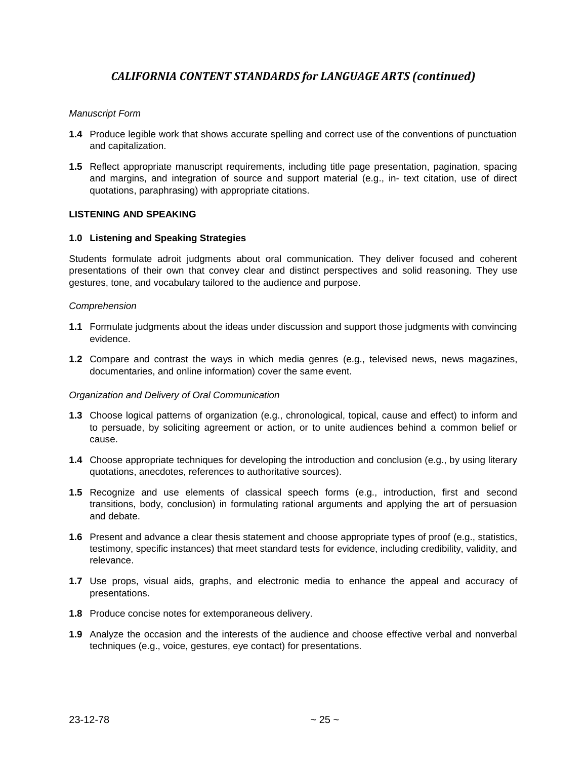#### *Manuscript Form*

- **1.4** Produce legible work that shows accurate spelling and correct use of the conventions of punctuation and capitalization.
- **1.5** Reflect appropriate manuscript requirements, including title page presentation, pagination, spacing and margins, and integration of source and support material (e.g., in- text citation, use of direct quotations, paraphrasing) with appropriate citations.

#### **LISTENING AND SPEAKING**

#### **1.0 Listening and Speaking Strategies**

Students formulate adroit judgments about oral communication. They deliver focused and coherent presentations of their own that convey clear and distinct perspectives and solid reasoning. They use gestures, tone, and vocabulary tailored to the audience and purpose.

#### *Comprehension*

- **1.1** Formulate judgments about the ideas under discussion and support those judgments with convincing evidence.
- **1.2** Compare and contrast the ways in which media genres (e.g., televised news, news magazines, documentaries, and online information) cover the same event.

#### *Organization and Delivery of Oral Communication*

- **1.3** Choose logical patterns of organization (e.g., chronological, topical, cause and effect) to inform and to persuade, by soliciting agreement or action, or to unite audiences behind a common belief or cause.
- **1.4** Choose appropriate techniques for developing the introduction and conclusion (e.g., by using literary quotations, anecdotes, references to authoritative sources).
- **1.5** Recognize and use elements of classical speech forms (e.g., introduction, first and second transitions, body, conclusion) in formulating rational arguments and applying the art of persuasion and debate.
- **1.6** Present and advance a clear thesis statement and choose appropriate types of proof (e.g., statistics, testimony, specific instances) that meet standard tests for evidence, including credibility, validity, and relevance.
- **1.7** Use props, visual aids, graphs, and electronic media to enhance the appeal and accuracy of presentations.
- **1.8** Produce concise notes for extemporaneous delivery.
- **1.9** Analyze the occasion and the interests of the audience and choose effective verbal and nonverbal techniques (e.g., voice, gestures, eye contact) for presentations.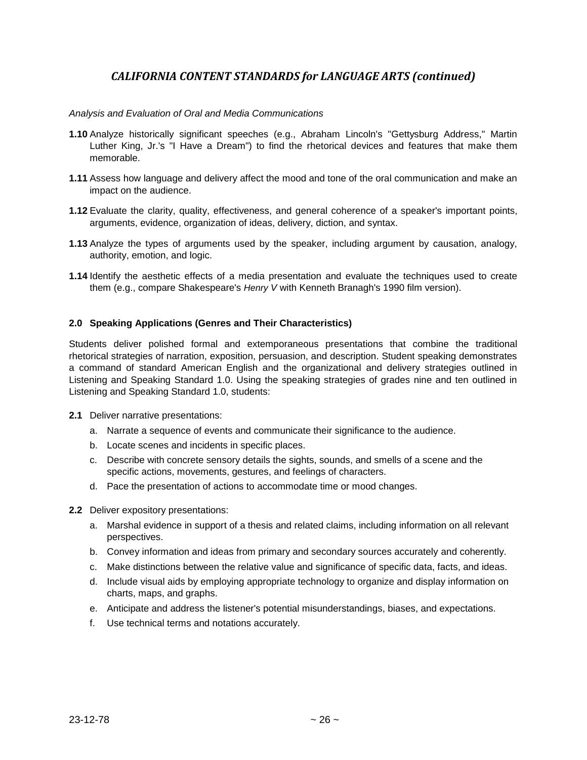#### *Analysis and Evaluation of Oral and Media Communications*

- **1.10** Analyze historically significant speeches (e.g., Abraham Lincoln's "Gettysburg Address," Martin Luther King, Jr.'s "I Have a Dream") to find the rhetorical devices and features that make them memorable.
- **1.11** Assess how language and delivery affect the mood and tone of the oral communication and make an impact on the audience.
- **1.12** Evaluate the clarity, quality, effectiveness, and general coherence of a speaker's important points, arguments, evidence, organization of ideas, delivery, diction, and syntax.
- **1.13** Analyze the types of arguments used by the speaker, including argument by causation, analogy, authority, emotion, and logic.
- **1.14** Identify the aesthetic effects of a media presentation and evaluate the techniques used to create them (e.g., compare Shakespeare's *Henry V* with Kenneth Branagh's 1990 film version).

#### **2.0 Speaking Applications (Genres and Their Characteristics)**

Students deliver polished formal and extemporaneous presentations that combine the traditional rhetorical strategies of narration, exposition, persuasion, and description. Student speaking demonstrates a command of standard American English and the organizational and delivery strategies outlined in Listening and Speaking Standard 1.0. Using the speaking strategies of grades nine and ten outlined in Listening and Speaking Standard 1.0, students:

- **2.1** Deliver narrative presentations:
	- a. Narrate a sequence of events and communicate their significance to the audience.
	- b. Locate scenes and incidents in specific places.
	- c. Describe with concrete sensory details the sights, sounds, and smells of a scene and the specific actions, movements, gestures, and feelings of characters.
	- d. Pace the presentation of actions to accommodate time or mood changes.
- **2.2** Deliver expository presentations:
	- a. Marshal evidence in support of a thesis and related claims, including information on all relevant perspectives.
	- b. Convey information and ideas from primary and secondary sources accurately and coherently.
	- c. Make distinctions between the relative value and significance of specific data, facts, and ideas.
	- d. Include visual aids by employing appropriate technology to organize and display information on charts, maps, and graphs.
	- e. Anticipate and address the listener's potential misunderstandings, biases, and expectations.
	- f. Use technical terms and notations accurately.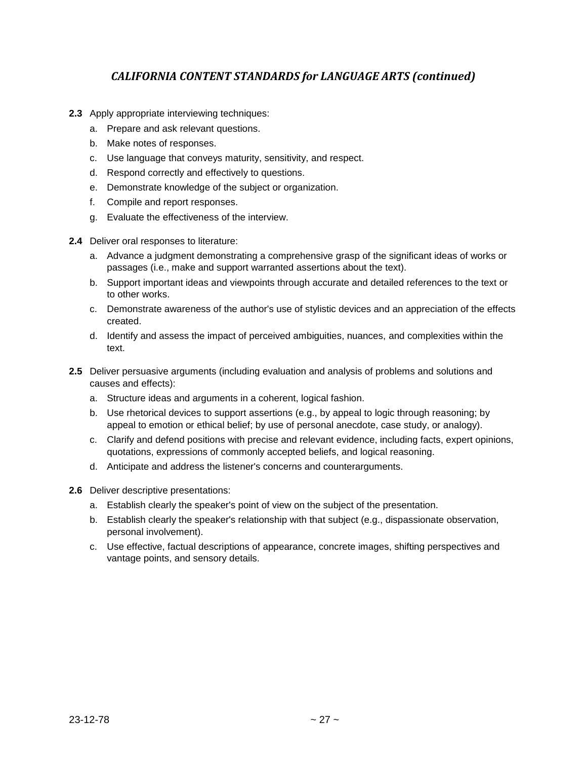- **2.3** Apply appropriate interviewing techniques:
	- a. Prepare and ask relevant questions.
	- b. Make notes of responses.
	- c. Use language that conveys maturity, sensitivity, and respect.
	- d. Respond correctly and effectively to questions.
	- e. Demonstrate knowledge of the subject or organization.
	- f. Compile and report responses.
	- g. Evaluate the effectiveness of the interview.
- **2.4** Deliver oral responses to literature:
	- a. Advance a judgment demonstrating a comprehensive grasp of the significant ideas of works or passages (i.e., make and support warranted assertions about the text).
	- b. Support important ideas and viewpoints through accurate and detailed references to the text or to other works.
	- c. Demonstrate awareness of the author's use of stylistic devices and an appreciation of the effects created.
	- d. Identify and assess the impact of perceived ambiguities, nuances, and complexities within the text.
- **2.5** Deliver persuasive arguments (including evaluation and analysis of problems and solutions and causes and effects):
	- a. Structure ideas and arguments in a coherent, logical fashion.
	- b. Use rhetorical devices to support assertions (e.g., by appeal to logic through reasoning; by appeal to emotion or ethical belief; by use of personal anecdote, case study, or analogy).
	- c. Clarify and defend positions with precise and relevant evidence, including facts, expert opinions, quotations, expressions of commonly accepted beliefs, and logical reasoning.
	- d. Anticipate and address the listener's concerns and counterarguments.
- **2.6** Deliver descriptive presentations:
	- a. Establish clearly the speaker's point of view on the subject of the presentation.
	- b. Establish clearly the speaker's relationship with that subject (e.g., dispassionate observation, personal involvement).
	- c. Use effective, factual descriptions of appearance, concrete images, shifting perspectives and vantage points, and sensory details.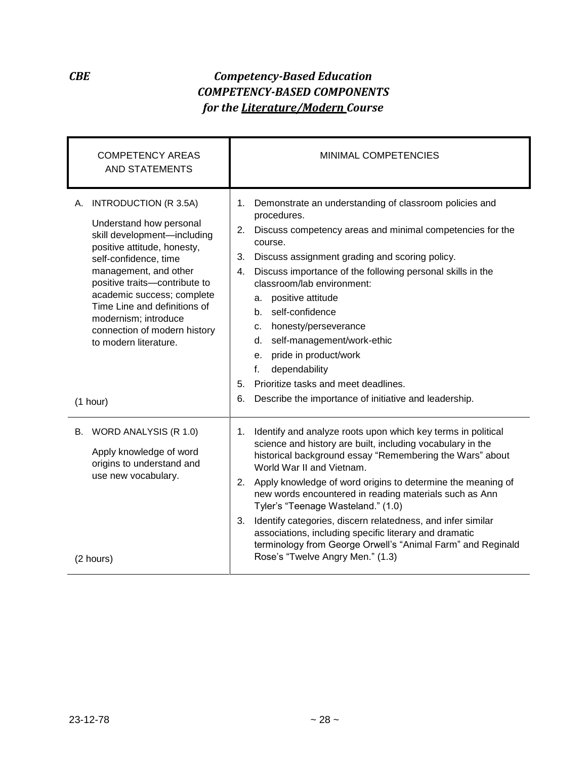# *CBE Competency-Based Education COMPETENCY-BASED COMPONENTS for the Literature/Modern Course*

 $\overline{a}$ 

| <b>COMPETENCY AREAS</b><br><b>AND STATEMENTS</b>                                                                                                                                                                                                                                                                                                    | MINIMAL COMPETENCIES                                                                                                                                                                                                                                                                                                                                                                                                                                                                                                                                                                                                             |
|-----------------------------------------------------------------------------------------------------------------------------------------------------------------------------------------------------------------------------------------------------------------------------------------------------------------------------------------------------|----------------------------------------------------------------------------------------------------------------------------------------------------------------------------------------------------------------------------------------------------------------------------------------------------------------------------------------------------------------------------------------------------------------------------------------------------------------------------------------------------------------------------------------------------------------------------------------------------------------------------------|
| A. INTRODUCTION (R 3.5A)<br>Understand how personal<br>skill development-including<br>positive attitude, honesty,<br>self-confidence, time<br>management, and other<br>positive traits-contribute to<br>academic success; complete<br>Time Line and definitions of<br>modernism; introduce<br>connection of modern history<br>to modern literature. | Demonstrate an understanding of classroom policies and<br>1.<br>procedures.<br>Discuss competency areas and minimal competencies for the<br>2.<br>course.<br>Discuss assignment grading and scoring policy.<br>3.<br>Discuss importance of the following personal skills in the<br>4.<br>classroom/lab environment:<br>a. positive attitude<br>self-confidence<br>b.<br>honesty/perseverance<br>c.<br>self-management/work-ethic<br>d.<br>pride in product/work<br>е.<br>f.<br>dependability<br>Prioritize tasks and meet deadlines.<br>5.<br>Describe the importance of initiative and leadership.<br>6.                        |
| (1 hour)                                                                                                                                                                                                                                                                                                                                            |                                                                                                                                                                                                                                                                                                                                                                                                                                                                                                                                                                                                                                  |
| B. WORD ANALYSIS (R 1.0)<br>Apply knowledge of word<br>origins to understand and<br>use new vocabulary.                                                                                                                                                                                                                                             | Identify and analyze roots upon which key terms in political<br>1.<br>science and history are built, including vocabulary in the<br>historical background essay "Remembering the Wars" about<br>World War II and Vietnam.<br>Apply knowledge of word origins to determine the meaning of<br>2.<br>new words encountered in reading materials such as Ann<br>Tyler's "Teenage Wasteland." (1.0)<br>Identify categories, discern relatedness, and infer similar<br>3.<br>associations, including specific literary and dramatic<br>terminology from George Orwell's "Animal Farm" and Reginald<br>Rose's "Twelve Angry Men." (1.3) |
| (2 hours)                                                                                                                                                                                                                                                                                                                                           |                                                                                                                                                                                                                                                                                                                                                                                                                                                                                                                                                                                                                                  |

 $\overline{a}$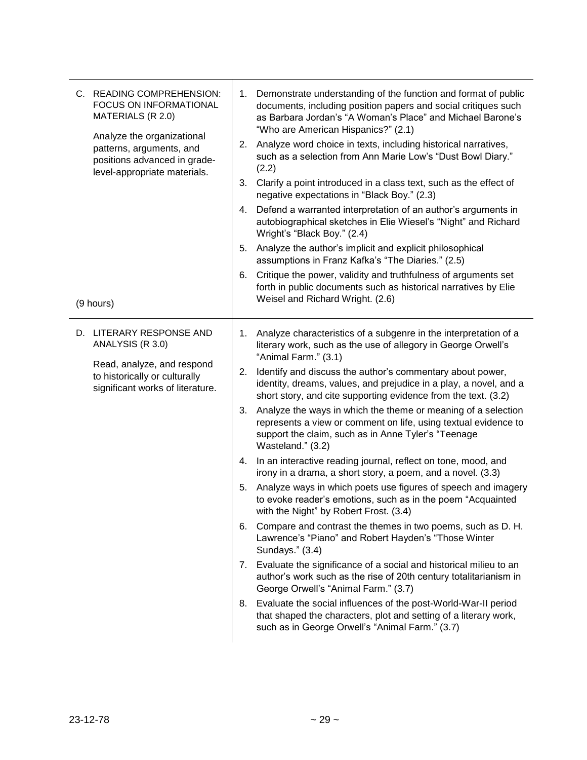| C. READING COMPREHENSION:<br>FOCUS ON INFORMATIONAL<br>MATERIALS (R 2.0)<br>Analyze the organizational<br>patterns, arguments, and<br>positions advanced in grade-<br>level-appropriate materials. | 1. Demonstrate understanding of the function and format of public<br>documents, including position papers and social critiques such<br>as Barbara Jordan's "A Woman's Place" and Michael Barone's<br>"Who are American Hispanics?" (2.1)<br>Analyze word choice in texts, including historical narratives,<br>2.<br>such as a selection from Ann Marie Low's "Dust Bowl Diary."<br>(2.2)<br>3.<br>Clarify a point introduced in a class text, such as the effect of<br>negative expectations in "Black Boy." (2.3)<br>Defend a warranted interpretation of an author's arguments in<br>4.<br>autobiographical sketches in Elie Wiesel's "Night" and Richard<br>Wright's "Black Boy." (2.4)<br>Analyze the author's implicit and explicit philosophical<br>5.<br>assumptions in Franz Kafka's "The Diaries." (2.5)                                                                                                                                                                                                                                                                                                                                                                                                                                                                                                                                                                                                                                            |
|----------------------------------------------------------------------------------------------------------------------------------------------------------------------------------------------------|--------------------------------------------------------------------------------------------------------------------------------------------------------------------------------------------------------------------------------------------------------------------------------------------------------------------------------------------------------------------------------------------------------------------------------------------------------------------------------------------------------------------------------------------------------------------------------------------------------------------------------------------------------------------------------------------------------------------------------------------------------------------------------------------------------------------------------------------------------------------------------------------------------------------------------------------------------------------------------------------------------------------------------------------------------------------------------------------------------------------------------------------------------------------------------------------------------------------------------------------------------------------------------------------------------------------------------------------------------------------------------------------------------------------------------------------------------------|
| (9 hours)                                                                                                                                                                                          | Critique the power, validity and truthfulness of arguments set<br>6.<br>forth in public documents such as historical narratives by Elie<br>Weisel and Richard Wright. (2.6)                                                                                                                                                                                                                                                                                                                                                                                                                                                                                                                                                                                                                                                                                                                                                                                                                                                                                                                                                                                                                                                                                                                                                                                                                                                                                  |
| D. LITERARY RESPONSE AND<br>ANALYSIS (R 3.0)<br>Read, analyze, and respond<br>to historically or culturally<br>significant works of literature.                                                    | Analyze characteristics of a subgenre in the interpretation of a<br>1.<br>literary work, such as the use of allegory in George Orwell's<br>"Animal Farm." (3.1)<br>Identify and discuss the author's commentary about power,<br>2.<br>identity, dreams, values, and prejudice in a play, a novel, and a<br>short story, and cite supporting evidence from the text. (3.2)<br>Analyze the ways in which the theme or meaning of a selection<br>3.<br>represents a view or comment on life, using textual evidence to<br>support the claim, such as in Anne Tyler's "Teenage<br>Wasteland." (3.2)<br>In an interactive reading journal, reflect on tone, mood, and<br>4.<br>irony in a drama, a short story, a poem, and a novel. (3.3)<br>Analyze ways in which poets use figures of speech and imagery<br>5.<br>to evoke reader's emotions, such as in the poem "Acquainted<br>with the Night" by Robert Frost. (3.4)<br>Compare and contrast the themes in two poems, such as D. H.<br>6.<br>Lawrence's "Piano" and Robert Hayden's "Those Winter<br>Sundays." (3.4)<br>Evaluate the significance of a social and historical milieu to an<br>7.<br>author's work such as the rise of 20th century totalitarianism in<br>George Orwell's "Animal Farm." (3.7)<br>Evaluate the social influences of the post-World-War-II period<br>8.<br>that shaped the characters, plot and setting of a literary work,<br>such as in George Orwell's "Animal Farm." (3.7) |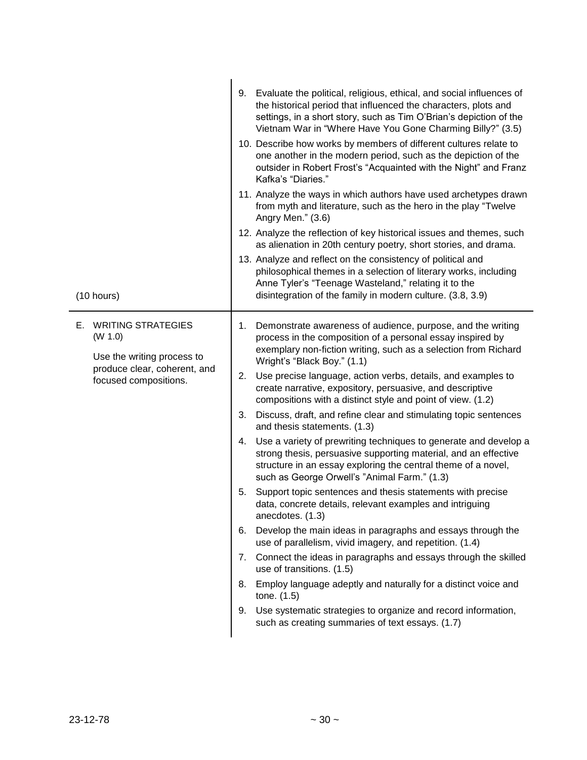|                                                       |                            |                                                                                                                                                                                              | 9. Evaluate the political, religious, ethical, and social influences of<br>the historical period that influenced the characters, plots and<br>settings, in a short story, such as Tim O'Brian's depiction of the<br>Vietnam War in "Where Have You Gone Charming Billy?" (3.5) |
|-------------------------------------------------------|----------------------------|----------------------------------------------------------------------------------------------------------------------------------------------------------------------------------------------|--------------------------------------------------------------------------------------------------------------------------------------------------------------------------------------------------------------------------------------------------------------------------------|
|                                                       |                            |                                                                                                                                                                                              | 10. Describe how works by members of different cultures relate to<br>one another in the modern period, such as the depiction of the<br>outsider in Robert Frost's "Acquainted with the Night" and Franz<br>Kafka's "Diaries."                                                  |
|                                                       |                            |                                                                                                                                                                                              | 11. Analyze the ways in which authors have used archetypes drawn<br>from myth and literature, such as the hero in the play "Twelve<br>Angry Men." (3.6)                                                                                                                        |
|                                                       |                            |                                                                                                                                                                                              | 12. Analyze the reflection of key historical issues and themes, such<br>as alienation in 20th century poetry, short stories, and drama.                                                                                                                                        |
|                                                       |                            |                                                                                                                                                                                              | 13. Analyze and reflect on the consistency of political and<br>philosophical themes in a selection of literary works, including<br>Anne Tyler's "Teenage Wasteland," relating it to the                                                                                        |
| (10 hours)                                            |                            |                                                                                                                                                                                              | disintegration of the family in modern culture. (3.8, 3.9)                                                                                                                                                                                                                     |
| E. WRITING STRATEGIES<br>(W 1.0)                      | 1.                         | Demonstrate awareness of audience, purpose, and the writing<br>process in the composition of a personal essay inspired by<br>exemplary non-fiction writing, such as a selection from Richard |                                                                                                                                                                                                                                                                                |
|                                                       | Use the writing process to |                                                                                                                                                                                              | Wright's "Black Boy." (1.1)                                                                                                                                                                                                                                                    |
| produce clear, coherent, and<br>focused compositions. |                            | 2.                                                                                                                                                                                           | Use precise language, action verbs, details, and examples to<br>create narrative, expository, persuasive, and descriptive<br>compositions with a distinct style and point of view. (1.2)                                                                                       |
|                                                       |                            | 3.                                                                                                                                                                                           | Discuss, draft, and refine clear and stimulating topic sentences<br>and thesis statements. (1.3)                                                                                                                                                                               |
|                                                       |                            |                                                                                                                                                                                              | 4. Use a variety of prewriting techniques to generate and develop a<br>strong thesis, persuasive supporting material, and an effective<br>structure in an essay exploring the central theme of a novel,<br>such as George Orwell's "Animal Farm." (1.3)                        |
|                                                       |                            | 5.                                                                                                                                                                                           | Support topic sentences and thesis statements with precise<br>data, concrete details, relevant examples and intriguing<br>anecdotes. (1.3)                                                                                                                                     |
|                                                       |                            | 6.                                                                                                                                                                                           | Develop the main ideas in paragraphs and essays through the<br>use of parallelism, vivid imagery, and repetition. (1.4)                                                                                                                                                        |
|                                                       |                            | 7.                                                                                                                                                                                           | Connect the ideas in paragraphs and essays through the skilled<br>use of transitions. (1.5)                                                                                                                                                                                    |
|                                                       |                            | 8.                                                                                                                                                                                           | Employ language adeptly and naturally for a distinct voice and<br>tone. (1.5)                                                                                                                                                                                                  |
|                                                       |                            | 9.                                                                                                                                                                                           | Use systematic strategies to organize and record information,<br>such as creating summaries of text essays. (1.7)                                                                                                                                                              |
|                                                       |                            |                                                                                                                                                                                              |                                                                                                                                                                                                                                                                                |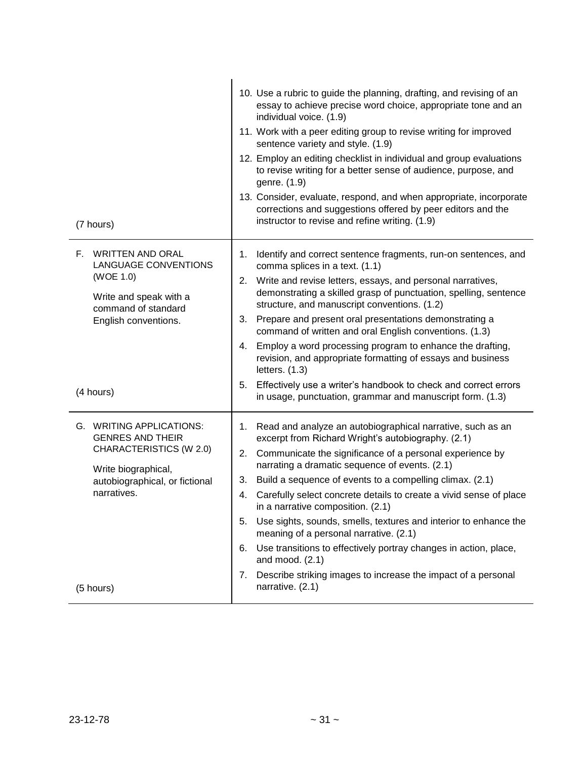| (7 hours)                                                                                                                                                                  | 10. Use a rubric to guide the planning, drafting, and revising of an<br>essay to achieve precise word choice, appropriate tone and an<br>individual voice. (1.9)<br>11. Work with a peer editing group to revise writing for improved<br>sentence variety and style. (1.9)<br>12. Employ an editing checklist in individual and group evaluations<br>to revise writing for a better sense of audience, purpose, and<br>genre. (1.9)<br>13. Consider, evaluate, respond, and when appropriate, incorporate<br>corrections and suggestions offered by peer editors and the<br>instructor to revise and refine writing. (1.9)                                                                                                             |
|----------------------------------------------------------------------------------------------------------------------------------------------------------------------------|----------------------------------------------------------------------------------------------------------------------------------------------------------------------------------------------------------------------------------------------------------------------------------------------------------------------------------------------------------------------------------------------------------------------------------------------------------------------------------------------------------------------------------------------------------------------------------------------------------------------------------------------------------------------------------------------------------------------------------------|
| F.,<br><b>WRITTEN AND ORAL</b><br><b>LANGUAGE CONVENTIONS</b><br>(WOE 1.0)<br>Write and speak with a<br>command of standard<br>English conventions.<br>(4 hours)           | Identify and correct sentence fragments, run-on sentences, and<br>1.<br>comma splices in a text. (1.1)<br>Write and revise letters, essays, and personal narratives,<br>2.<br>demonstrating a skilled grasp of punctuation, spelling, sentence<br>structure, and manuscript conventions. (1.2)<br>Prepare and present oral presentations demonstrating a<br>3.<br>command of written and oral English conventions. (1.3)<br>Employ a word processing program to enhance the drafting,<br>4.<br>revision, and appropriate formatting of essays and business<br>letters. $(1.3)$<br>Effectively use a writer's handbook to check and correct errors<br>5.<br>in usage, punctuation, grammar and manuscript form. (1.3)                   |
| G. WRITING APPLICATIONS:<br><b>GENRES AND THEIR</b><br><b>CHARACTERISTICS (W 2.0)</b><br>Write biographical,<br>autobiographical, or fictional<br>narratives.<br>(5 hours) | Read and analyze an autobiographical narrative, such as an<br>1.<br>excerpt from Richard Wright's autobiography. (2.1)<br>2. Communicate the significance of a personal experience by<br>narrating a dramatic sequence of events. (2.1)<br>Build a sequence of events to a compelling climax. (2.1)<br>3.<br>Carefully select concrete details to create a vivid sense of place<br>4.<br>in a narrative composition. (2.1)<br>Use sights, sounds, smells, textures and interior to enhance the<br>5.<br>meaning of a personal narrative. (2.1)<br>Use transitions to effectively portray changes in action, place,<br>6.<br>and mood. (2.1)<br>Describe striking images to increase the impact of a personal<br>7.<br>narrative. (2.1) |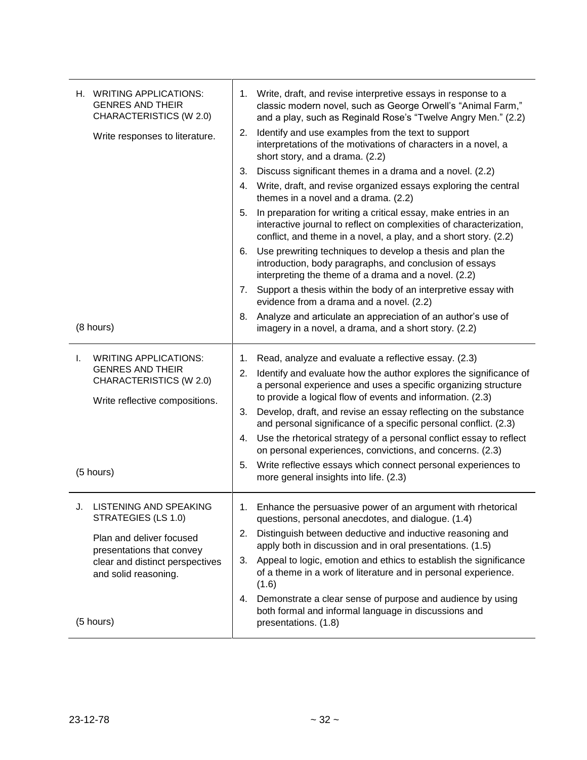| H. WRITING APPLICATIONS:<br><b>GENRES AND THEIR</b><br><b>CHARACTERISTICS (W 2.0)</b><br>Write responses to literature.                                                 | Write, draft, and revise interpretive essays in response to a<br>1.<br>classic modern novel, such as George Orwell's "Animal Farm,"<br>and a play, such as Reginald Rose's "Twelve Angry Men." (2.2)<br>Identify and use examples from the text to support<br>2.<br>interpretations of the motivations of characters in a novel, a<br>short story, and a drama. (2.2)<br>Discuss significant themes in a drama and a novel. (2.2)<br>3.<br>Write, draft, and revise organized essays exploring the central<br>4.<br>themes in a novel and a drama. (2.2)<br>In preparation for writing a critical essay, make entries in an<br>5.<br>interactive journal to reflect on complexities of characterization,<br>conflict, and theme in a novel, a play, and a short story. (2.2)<br>Use prewriting techniques to develop a thesis and plan the<br>6.<br>introduction, body paragraphs, and conclusion of essays<br>interpreting the theme of a drama and a novel. (2.2)<br>Support a thesis within the body of an interpretive essay with<br>7.<br>evidence from a drama and a novel. (2.2)<br>Analyze and articulate an appreciation of an author's use of<br>8. |
|-------------------------------------------------------------------------------------------------------------------------------------------------------------------------|---------------------------------------------------------------------------------------------------------------------------------------------------------------------------------------------------------------------------------------------------------------------------------------------------------------------------------------------------------------------------------------------------------------------------------------------------------------------------------------------------------------------------------------------------------------------------------------------------------------------------------------------------------------------------------------------------------------------------------------------------------------------------------------------------------------------------------------------------------------------------------------------------------------------------------------------------------------------------------------------------------------------------------------------------------------------------------------------------------------------------------------------------------------|
| (8 hours)                                                                                                                                                               | imagery in a novel, a drama, and a short story. (2.2)                                                                                                                                                                                                                                                                                                                                                                                                                                                                                                                                                                                                                                                                                                                                                                                                                                                                                                                                                                                                                                                                                                         |
| <b>WRITING APPLICATIONS:</b><br>L.<br><b>GENRES AND THEIR</b><br><b>CHARACTERISTICS (W 2.0)</b><br>Write reflective compositions.                                       | Read, analyze and evaluate a reflective essay. (2.3)<br>1.<br>Identify and evaluate how the author explores the significance of<br>2.<br>a personal experience and uses a specific organizing structure<br>to provide a logical flow of events and information. (2.3)<br>Develop, draft, and revise an essay reflecting on the substance<br>3.<br>and personal significance of a specific personal conflict. (2.3)<br>Use the rhetorical strategy of a personal conflict essay to reflect<br>4.<br>on personal experiences, convictions, and concerns. (2.3)                                                                                                                                                                                                                                                                                                                                                                                                                                                                                                                                                                                                  |
| (5 hours)                                                                                                                                                               | Write reflective essays which connect personal experiences to<br>5.<br>more general insights into life. (2.3)                                                                                                                                                                                                                                                                                                                                                                                                                                                                                                                                                                                                                                                                                                                                                                                                                                                                                                                                                                                                                                                 |
| LISTENING AND SPEAKING<br>J.<br>STRATEGIES (LS 1.0)<br>Plan and deliver focused<br>presentations that convey<br>clear and distinct perspectives<br>and solid reasoning. | Enhance the persuasive power of an argument with rhetorical<br>1.<br>questions, personal anecdotes, and dialogue. (1.4)<br>Distinguish between deductive and inductive reasoning and<br>2.<br>apply both in discussion and in oral presentations. (1.5)<br>Appeal to logic, emotion and ethics to establish the significance<br>3.<br>of a theme in a work of literature and in personal experience.<br>(1.6)<br>Demonstrate a clear sense of purpose and audience by using<br>4.                                                                                                                                                                                                                                                                                                                                                                                                                                                                                                                                                                                                                                                                             |
| (5 hours)                                                                                                                                                               | both formal and informal language in discussions and<br>presentations. (1.8)                                                                                                                                                                                                                                                                                                                                                                                                                                                                                                                                                                                                                                                                                                                                                                                                                                                                                                                                                                                                                                                                                  |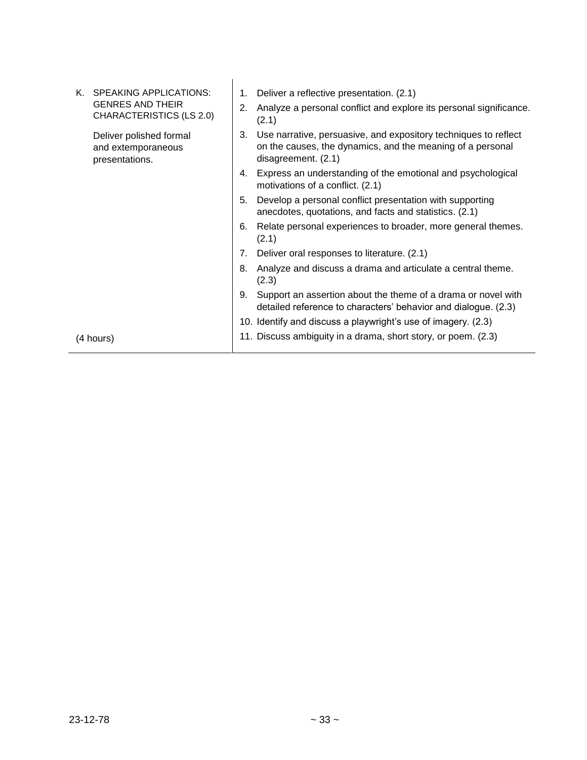| K SPEAKING APPLICATIONS:                                        | Deliver a reflective presentation. (2.1)<br>1.                                                                                                             |
|-----------------------------------------------------------------|------------------------------------------------------------------------------------------------------------------------------------------------------------|
| <b>GENRES AND THEIR</b><br><b>CHARACTERISTICS (LS 2.0)</b>      | Analyze a personal conflict and explore its personal significance.<br>2.<br>(2.1)                                                                          |
| Deliver polished formal<br>and extemporaneous<br>presentations. | Use narrative, persuasive, and expository techniques to reflect<br>3.<br>on the causes, the dynamics, and the meaning of a personal<br>disagreement. (2.1) |
|                                                                 | Express an understanding of the emotional and psychological<br>4.<br>motivations of a conflict. (2.1)                                                      |
|                                                                 | Develop a personal conflict presentation with supporting<br>5.<br>anecdotes, quotations, and facts and statistics. (2.1)                                   |
|                                                                 | Relate personal experiences to broader, more general themes.<br>6.<br>(2.1)                                                                                |
|                                                                 | Deliver oral responses to literature. (2.1)<br>7.                                                                                                          |
|                                                                 | Analyze and discuss a drama and articulate a central theme.<br>8.<br>(2.3)                                                                                 |
|                                                                 | Support an assertion about the theme of a drama or novel with<br>9.<br>detailed reference to characters' behavior and dialogue. (2.3)                      |
|                                                                 | 10. Identify and discuss a playwright's use of imagery. (2.3)                                                                                              |
| (4 hours)                                                       | 11. Discuss ambiguity in a drama, short story, or poem. (2.3)                                                                                              |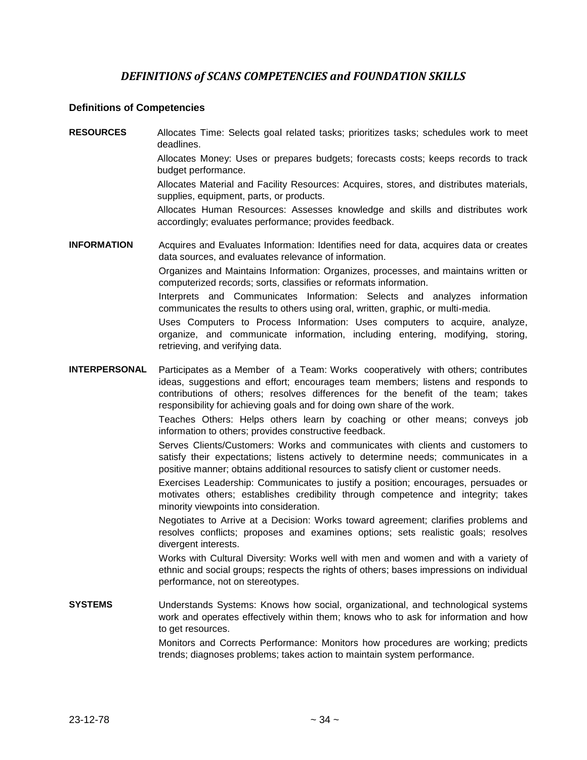## *DEFINITIONS of SCANS COMPETENCIES and FOUNDATION SKILLS*

#### **Definitions of Competencies**

**RESOURCES** Allocates Time: Selects goal related tasks; prioritizes tasks; schedules work to meet deadlines.

> Allocates Money: Uses or prepares budgets; forecasts costs; keeps records to track budget performance.

> Allocates Material and Facility Resources: Acquires, stores, and distributes materials, supplies, equipment, parts, or products.

> Allocates Human Resources: Assesses knowledge and skills and distributes work accordingly; evaluates performance; provides feedback.

**INFORMATION** Acquires and Evaluates Information: Identifies need for data, acquires data or creates data sources, and evaluates relevance of information.

> Organizes and Maintains Information: Organizes, processes, and maintains written or computerized records; sorts, classifies or reformats information.

> Interprets and Communicates Information: Selects and analyzes information communicates the results to others using oral, written, graphic, or multi-media.

> Uses Computers to Process Information: Uses computers to acquire, analyze, organize, and communicate information, including entering, modifying, storing, retrieving, and verifying data.

**INTERPERSONAL** Participates as a Member of a Team: Works cooperatively with others; contributes ideas, suggestions and effort; encourages team members; listens and responds to contributions of others; resolves differences for the benefit of the team; takes responsibility for achieving goals and for doing own share of the work.

> Teaches Others: Helps others learn by coaching or other means; conveys job information to others; provides constructive feedback.

> Serves Clients/Customers: Works and communicates with clients and customers to satisfy their expectations; listens actively to determine needs; communicates in a positive manner; obtains additional resources to satisfy client or customer needs.

> Exercises Leadership: Communicates to justify a position; encourages, persuades or motivates others; establishes credibility through competence and integrity; takes minority viewpoints into consideration.

> Negotiates to Arrive at a Decision: Works toward agreement; clarifies problems and resolves conflicts; proposes and examines options; sets realistic goals; resolves divergent interests.

> Works with Cultural Diversity: Works well with men and women and with a variety of ethnic and social groups; respects the rights of others; bases impressions on individual performance, not on stereotypes.

**SYSTEMS** Understands Systems: Knows how social, organizational, and technological systems work and operates effectively within them; knows who to ask for information and how to get resources.

> Monitors and Corrects Performance: Monitors how procedures are working; predicts trends; diagnoses problems; takes action to maintain system performance.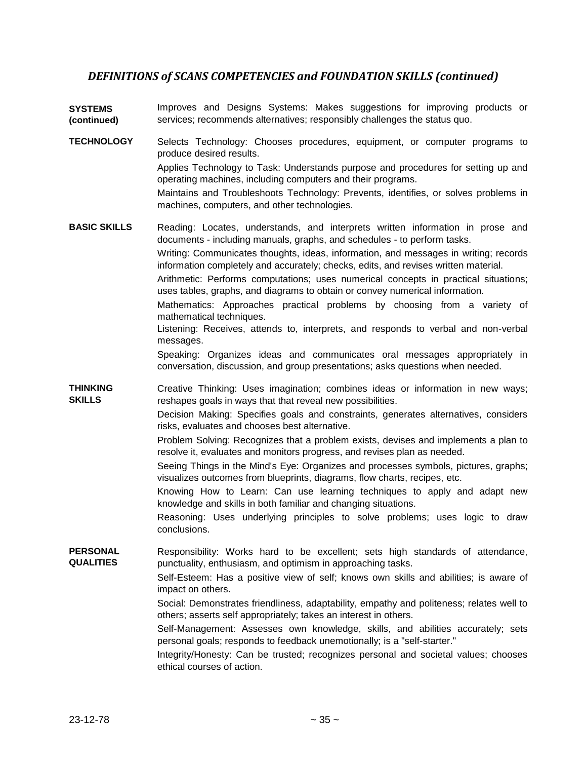## *DEFINITIONS of SCANS COMPETENCIES and FOUNDATION SKILLS (continued)*

**SYSTEMS (continued)** Improves and Designs Systems: Makes suggestions for improving products or services; recommends alternatives; responsibly challenges the status quo.

**TECHNOLOGY** Selects Technology: Chooses procedures, equipment, or computer programs to produce desired results. Applies Technology to Task: Understands purpose and procedures for setting up and operating machines, including computers and their programs. Maintains and Troubleshoots Technology: Prevents, identifies, or solves problems in machines, computers, and other technologies.

**BASIC SKILLS** Reading: Locates, understands, and interprets written information in prose and documents - including manuals, graphs, and schedules - to perform tasks. Writing: Communicates thoughts, ideas, information, and messages in writing; records information completely and accurately; checks, edits, and revises written material. Arithmetic: Performs computations; uses numerical concepts in practical situations; uses tables, graphs, and diagrams to obtain or convey numerical information. Mathematics: Approaches practical problems by choosing from a variety of mathematical techniques. Listening: Receives, attends to, interprets, and responds to verbal and non-verbal

messages. Speaking: Organizes ideas and communicates oral messages appropriately in

conversation, discussion, and group presentations; asks questions when needed.

**THINKING SKILLS** Creative Thinking: Uses imagination; combines ideas or information in new ways; reshapes goals in ways that that reveal new possibilities.

> Decision Making: Specifies goals and constraints, generates alternatives, considers risks, evaluates and chooses best alternative.

> Problem Solving: Recognizes that a problem exists, devises and implements a plan to resolve it, evaluates and monitors progress, and revises plan as needed.

> Seeing Things in the Mind's Eye: Organizes and processes symbols, pictures, graphs; visualizes outcomes from blueprints, diagrams, flow charts, recipes, etc.

> Knowing How to Learn: Can use learning techniques to apply and adapt new knowledge and skills in both familiar and changing situations.

> Reasoning: Uses underlying principles to solve problems; uses logic to draw conclusions.

**PERSONAL QUALITIES** Responsibility: Works hard to be excellent; sets high standards of attendance, punctuality, enthusiasm, and optimism in approaching tasks.

> Self-Esteem: Has a positive view of self; knows own skills and abilities; is aware of impact on others.

> Social: Demonstrates friendliness, adaptability, empathy and politeness; relates well to others; asserts self appropriately; takes an interest in others.

> Self-Management: Assesses own knowledge, skills, and abilities accurately; sets personal goals; responds to feedback unemotionally; is a "self-starter."

> Integrity/Honesty: Can be trusted; recognizes personal and societal values; chooses ethical courses of action.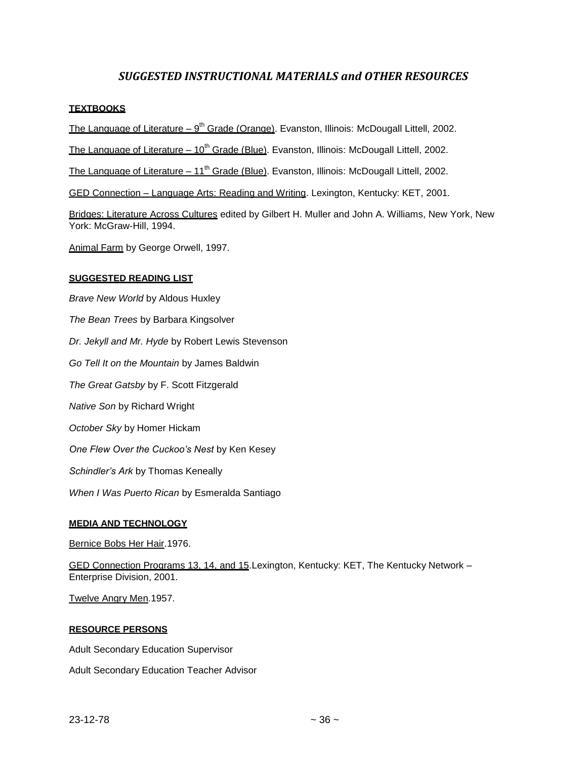## *SUGGESTED INSTRUCTIONAL MATERIALS and OTHER RESOURCES*

#### **TEXTBOOKS**

The Language of Literature – 9<sup>th</sup> Grade (Orange). Evanston, Illinois: McDougall Littell, 2002.

The Language of Literature  $-10^{th}$  Grade (Blue). Evanston, Illinois: McDougall Littell, 2002.

The Language of Literature – 11<sup>th</sup> Grade (Blue). Evanston, Illinois: McDougall Littell, 2002.

GED Connection – Language Arts: Reading and Writing. Lexington, Kentucky: KET, 2001.

Bridges: Literature Across Cultures edited by Gilbert H. Muller and John A. Williams, New York, New York: McGraw-Hill, 1994.

Animal Farm by George Orwell, 1997.

#### **SUGGESTED READING LIST**

*Brave New World* by Aldous Huxley *The Bean Trees* by Barbara Kingsolver *Dr. Jekyll and Mr. Hyde* by Robert Lewis Stevenson *Go Tell It on the Mountain* by James Baldwin *The Great Gatsby* by F. Scott Fitzgerald *Native Son* by Richard Wright *October Sky* by Homer Hickam *One Flew Over the Cuckoo's Nest* by Ken Kesey *Schindler's Ark* by Thomas Keneally

*When I Was Puerto Rican* by Esmeralda Santiago

#### **MEDIA AND TECHNOLOGY**

Bernice Bobs Her Hair.1976.

GED Connection Programs 13, 14, and 15.Lexington, Kentucky: KET, The Kentucky Network – Enterprise Division, 2001.

Twelve Angry Men.1957.

#### **RESOURCE PERSONS**

Adult Secondary Education Supervisor

Adult Secondary Education Teacher Advisor